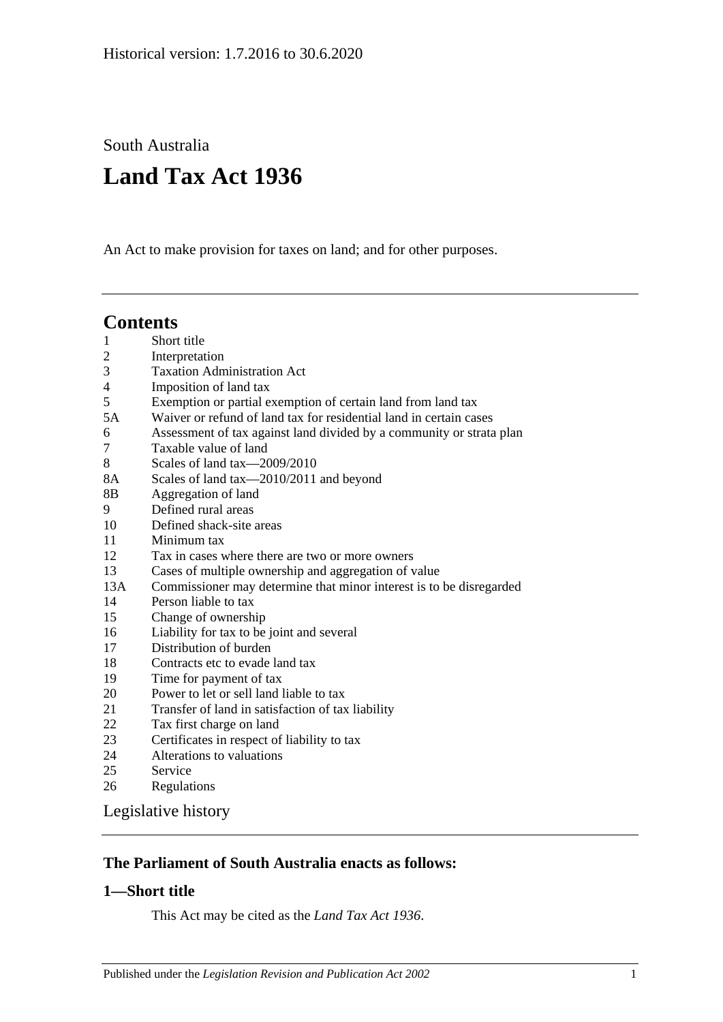South Australia

# **Land Tax Act 1936**

An Act to make provision for taxes on land; and for other purposes.

# **Contents**

| Assessment of tax against land divided by a community or strata plan |
|----------------------------------------------------------------------|
|                                                                      |
|                                                                      |
|                                                                      |
|                                                                      |
|                                                                      |
|                                                                      |
|                                                                      |
|                                                                      |
|                                                                      |
| Commissioner may determine that minor interest is to be disregarded  |
|                                                                      |
|                                                                      |
|                                                                      |
|                                                                      |
|                                                                      |
|                                                                      |
|                                                                      |
|                                                                      |
|                                                                      |
|                                                                      |
|                                                                      |
|                                                                      |
|                                                                      |
|                                                                      |

[Legislative history](#page-28-0)

# **The Parliament of South Australia enacts as follows:**

# <span id="page-0-0"></span>**1—Short title**

This Act may be cited as the *Land Tax Act 1936*.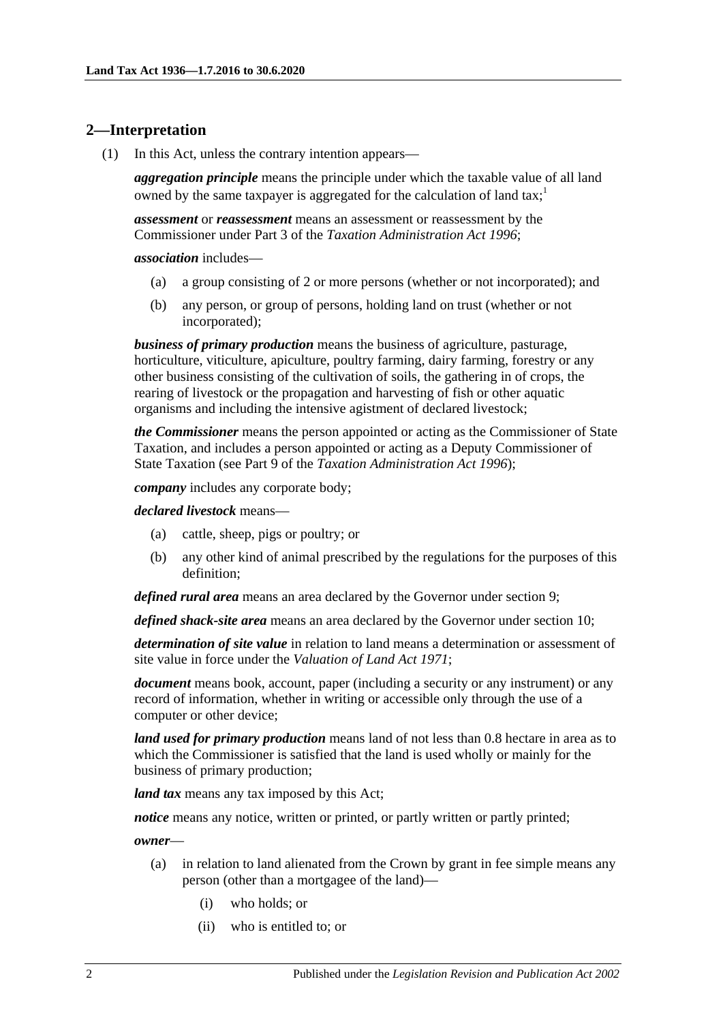## <span id="page-1-1"></span><span id="page-1-0"></span>**2—Interpretation**

(1) In this Act, unless the contrary intention appears—

*aggregation principle* means the principle under which the taxable value of all land owned by the same taxpayer is aggregated for the calculation of land tax;<sup>1</sup>

*assessment* or *reassessment* means an assessment or reassessment by the Commissioner under Part 3 of the *[Taxation Administration Act](http://www.legislation.sa.gov.au/index.aspx?action=legref&type=act&legtitle=Taxation%20Administration%20Act%201996) 1996*;

*association* includes—

- (a) a group consisting of 2 or more persons (whether or not incorporated); and
- (b) any person, or group of persons, holding land on trust (whether or not incorporated);

*business of primary production* means the business of agriculture, pasturage, horticulture, viticulture, apiculture, poultry farming, dairy farming, forestry or any other business consisting of the cultivation of soils, the gathering in of crops, the rearing of livestock or the propagation and harvesting of fish or other aquatic organisms and including the intensive agistment of declared livestock;

*the Commissioner* means the person appointed or acting as the Commissioner of State Taxation, and includes a person appointed or acting as a Deputy Commissioner of State Taxation (see Part 9 of the *[Taxation Administration Act](http://www.legislation.sa.gov.au/index.aspx?action=legref&type=act&legtitle=Taxation%20Administration%20Act%201996) 1996*);

*company* includes any corporate body;

*declared livestock* means—

- (a) cattle, sheep, pigs or poultry; or
- (b) any other kind of animal prescribed by the regulations for the purposes of this definition;

*defined rural area* means an area declared by the Governor under [section](#page-20-1) 9;

*defined shack-site area* means an area declared by the Governor under [section](#page-20-2) 10;

*determination of site value* in relation to land means a determination or assessment of site value in force under the *[Valuation of Land Act](http://www.legislation.sa.gov.au/index.aspx?action=legref&type=act&legtitle=Valuation%20of%20Land%20Act%201971) 1971*;

*document* means book, account, paper (including a security or any instrument) or any record of information, whether in writing or accessible only through the use of a computer or other device;

*land used for primary production* means land of not less than 0.8 hectare in area as to which the Commissioner is satisfied that the land is used wholly or mainly for the business of primary production;

*land tax* means any tax imposed by this Act:

*notice* means any notice, written or printed, or partly written or partly printed;

*owner*—

- (a) in relation to land alienated from the Crown by grant in fee simple means any person (other than a mortgagee of the land)—
	- (i) who holds; or
	- (ii) who is entitled to; or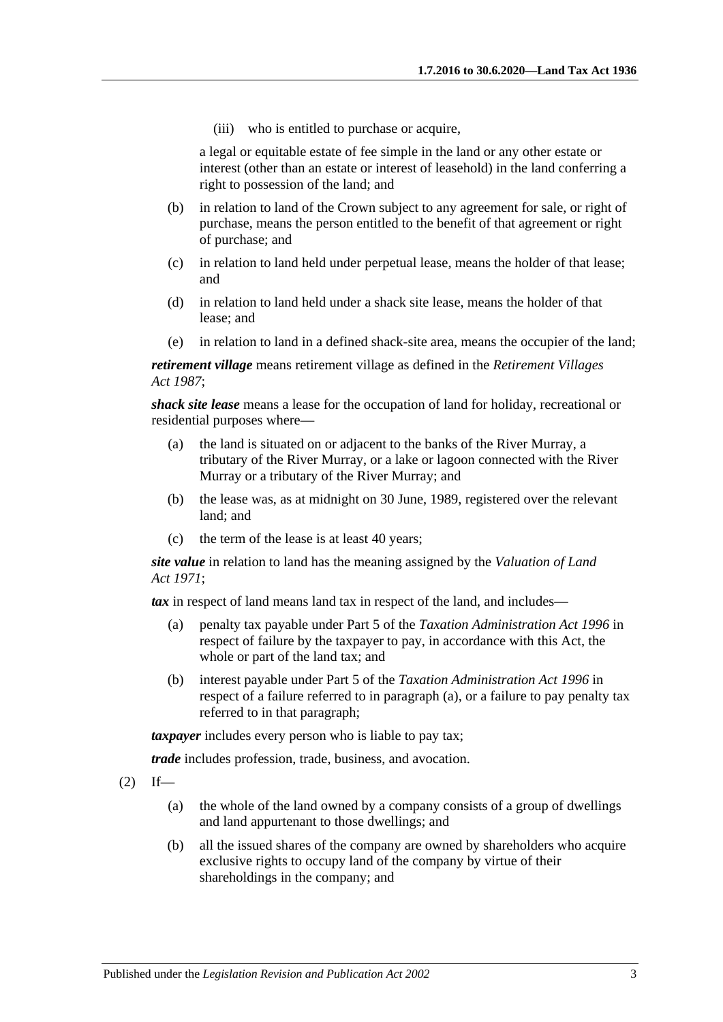(iii) who is entitled to purchase or acquire,

a legal or equitable estate of fee simple in the land or any other estate or interest (other than an estate or interest of leasehold) in the land conferring a right to possession of the land; and

- (b) in relation to land of the Crown subject to any agreement for sale, or right of purchase, means the person entitled to the benefit of that agreement or right of purchase; and
- (c) in relation to land held under perpetual lease, means the holder of that lease; and
- (d) in relation to land held under a shack site lease, means the holder of that lease; and
- (e) in relation to land in a defined shack-site area, means the occupier of the land;

*retirement village* means retirement village as defined in the *[Retirement Villages](http://www.legislation.sa.gov.au/index.aspx?action=legref&type=act&legtitle=Retirement%20Villages%20Act%201987)  Act [1987](http://www.legislation.sa.gov.au/index.aspx?action=legref&type=act&legtitle=Retirement%20Villages%20Act%201987)*;

*shack site lease* means a lease for the occupation of land for holiday, recreational or residential purposes where—

- (a) the land is situated on or adjacent to the banks of the River Murray, a tributary of the River Murray, or a lake or lagoon connected with the River Murray or a tributary of the River Murray; and
- (b) the lease was, as at midnight on 30 June, 1989, registered over the relevant land; and
- (c) the term of the lease is at least 40 years;

*site value* in relation to land has the meaning assigned by the *[Valuation of Land](http://www.legislation.sa.gov.au/index.aspx?action=legref&type=act&legtitle=Valuation%20of%20Land%20Act%201971)  Act [1971](http://www.legislation.sa.gov.au/index.aspx?action=legref&type=act&legtitle=Valuation%20of%20Land%20Act%201971)*;

<span id="page-2-0"></span>*tax* in respect of land means land tax in respect of the land, and includes—

- (a) penalty tax payable under Part 5 of the *[Taxation Administration Act](http://www.legislation.sa.gov.au/index.aspx?action=legref&type=act&legtitle=Taxation%20Administration%20Act%201996) 1996* in respect of failure by the taxpayer to pay, in accordance with this Act, the whole or part of the land tax; and
- (b) interest payable under Part 5 of the *[Taxation Administration Act](http://www.legislation.sa.gov.au/index.aspx?action=legref&type=act&legtitle=Taxation%20Administration%20Act%201996) 1996* in respect of a failure referred to in [paragraph](#page-2-0) (a), or a failure to pay penalty tax referred to in that paragraph;

*taxpayer* includes every person who is liable to pay tax;

*trade* includes profession, trade, business, and avocation.

 $(2)$  If—

- (a) the whole of the land owned by a company consists of a group of dwellings and land appurtenant to those dwellings; and
- (b) all the issued shares of the company are owned by shareholders who acquire exclusive rights to occupy land of the company by virtue of their shareholdings in the company; and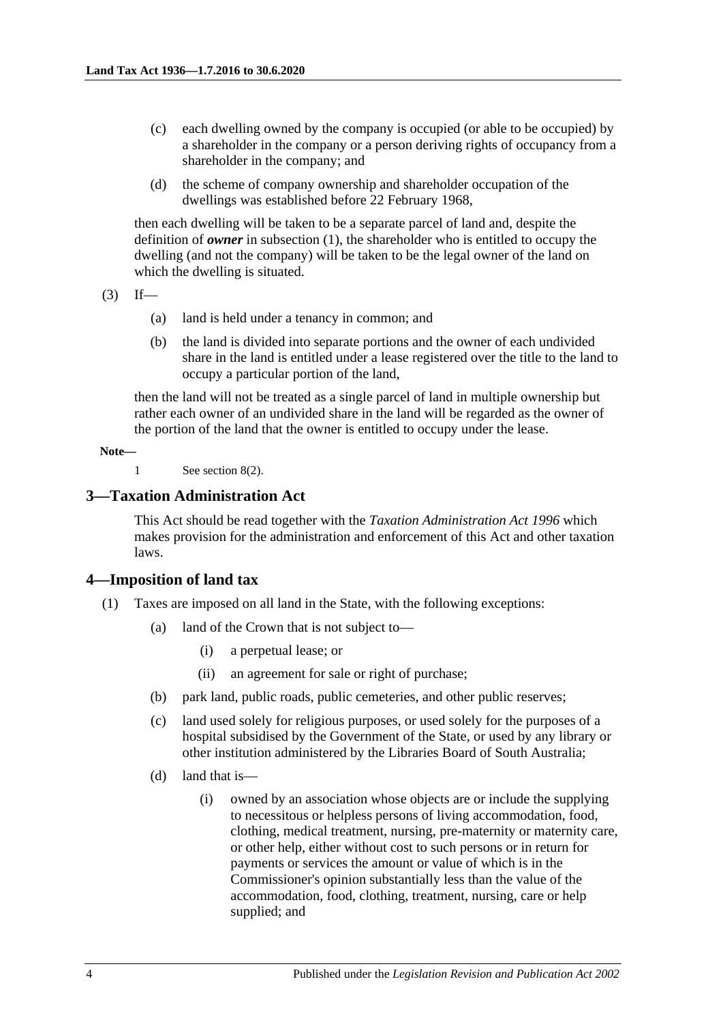- (c) each dwelling owned by the company is occupied (or able to be occupied) by a shareholder in the company or a person deriving rights of occupancy from a shareholder in the company; and
- (d) the scheme of company ownership and shareholder occupation of the dwellings was established before 22 February 1968,

then each dwelling will be taken to be a separate parcel of land and, despite the definition of *owner* in [subsection](#page-1-1) (1), the shareholder who is entitled to occupy the dwelling (and not the company) will be taken to be the legal owner of the land on which the dwelling is situated.

 $(3)$  If—

- (a) land is held under a tenancy in common; and
- (b) the land is divided into separate portions and the owner of each undivided share in the land is entitled under a lease registered over the title to the land to occupy a particular portion of the land,

then the land will not be treated as a single parcel of land in multiple ownership but rather each owner of an undivided share in the land will be regarded as the owner of the portion of the land that the owner is entitled to occupy under the lease.

**Note—**

1 See section 8(2).

#### <span id="page-3-0"></span>**3—Taxation Administration Act**

This Act should be read together with the *[Taxation Administration Act](http://www.legislation.sa.gov.au/index.aspx?action=legref&type=act&legtitle=Taxation%20Administration%20Act%201996) 1996* which makes provision for the administration and enforcement of this Act and other taxation laws.

#### <span id="page-3-1"></span>**4—Imposition of land tax**

- <span id="page-3-2"></span>(1) Taxes are imposed on all land in the State, with the following exceptions:
	- (a) land of the Crown that is not subject to—
		- (i) a perpetual lease; or
		- (ii) an agreement for sale or right of purchase;
	- (b) park land, public roads, public cemeteries, and other public reserves;
	- (c) land used solely for religious purposes, or used solely for the purposes of a hospital subsidised by the Government of the State, or used by any library or other institution administered by the Libraries Board of South Australia;
	- (d) land that is—
		- (i) owned by an association whose objects are or include the supplying to necessitous or helpless persons of living accommodation, food, clothing, medical treatment, nursing, pre-maternity or maternity care, or other help, either without cost to such persons or in return for payments or services the amount or value of which is in the Commissioner's opinion substantially less than the value of the accommodation, food, clothing, treatment, nursing, care or help supplied; and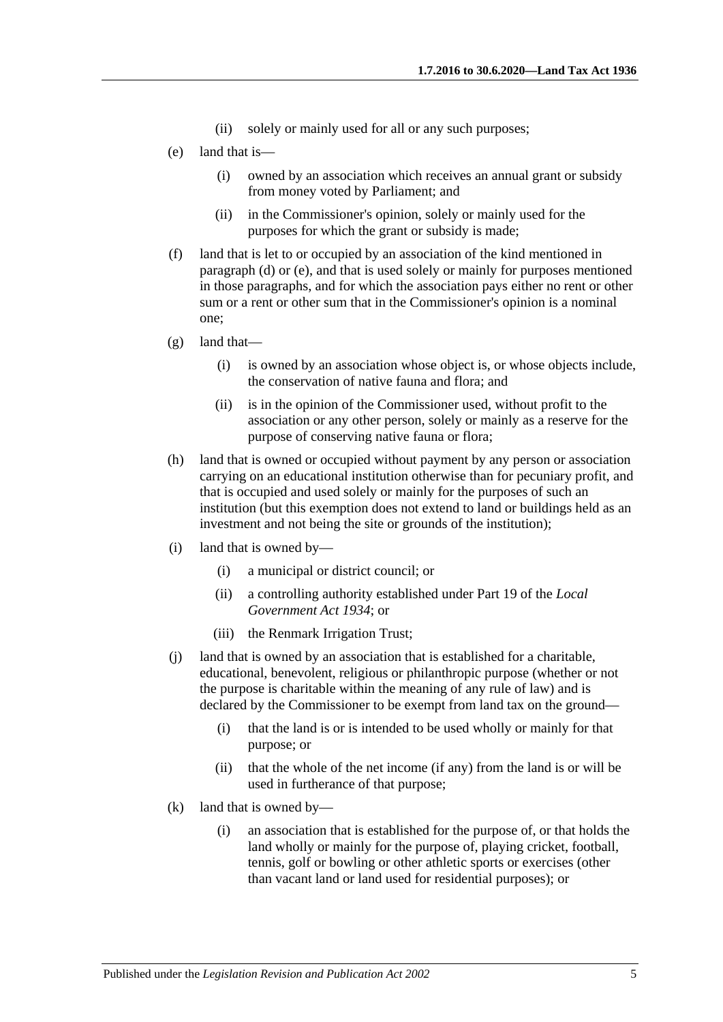- (ii) solely or mainly used for all or any such purposes;
- <span id="page-4-0"></span>(e) land that is—
	- (i) owned by an association which receives an annual grant or subsidy from money voted by Parliament; and
	- (ii) in the Commissioner's opinion, solely or mainly used for the purposes for which the grant or subsidy is made;
- (f) land that is let to or occupied by an association of the kind mentioned in [paragraph](#page-3-2) (d) or [\(e\),](#page-4-0) and that is used solely or mainly for purposes mentioned in those paragraphs, and for which the association pays either no rent or other sum or a rent or other sum that in the Commissioner's opinion is a nominal one;
- (g) land that—
	- (i) is owned by an association whose object is, or whose objects include, the conservation of native fauna and flora; and
	- (ii) is in the opinion of the Commissioner used, without profit to the association or any other person, solely or mainly as a reserve for the purpose of conserving native fauna or flora;
- (h) land that is owned or occupied without payment by any person or association carrying on an educational institution otherwise than for pecuniary profit, and that is occupied and used solely or mainly for the purposes of such an institution (but this exemption does not extend to land or buildings held as an investment and not being the site or grounds of the institution);
- (i) land that is owned by—
	- (i) a municipal or district council; or
	- (ii) a controlling authority established under Part 19 of the *[Local](http://www.legislation.sa.gov.au/index.aspx?action=legref&type=act&legtitle=Local%20Government%20Act%201934)  [Government Act](http://www.legislation.sa.gov.au/index.aspx?action=legref&type=act&legtitle=Local%20Government%20Act%201934) 1934*; or
	- (iii) the Renmark Irrigation Trust;
- (j) land that is owned by an association that is established for a charitable, educational, benevolent, religious or philanthropic purpose (whether or not the purpose is charitable within the meaning of any rule of law) and is declared by the Commissioner to be exempt from land tax on the ground—
	- (i) that the land is or is intended to be used wholly or mainly for that purpose; or
	- (ii) that the whole of the net income (if any) from the land is or will be used in furtherance of that purpose;
- (k) land that is owned by—
	- (i) an association that is established for the purpose of, or that holds the land wholly or mainly for the purpose of, playing cricket, football, tennis, golf or bowling or other athletic sports or exercises (other than vacant land or land used for residential purposes); or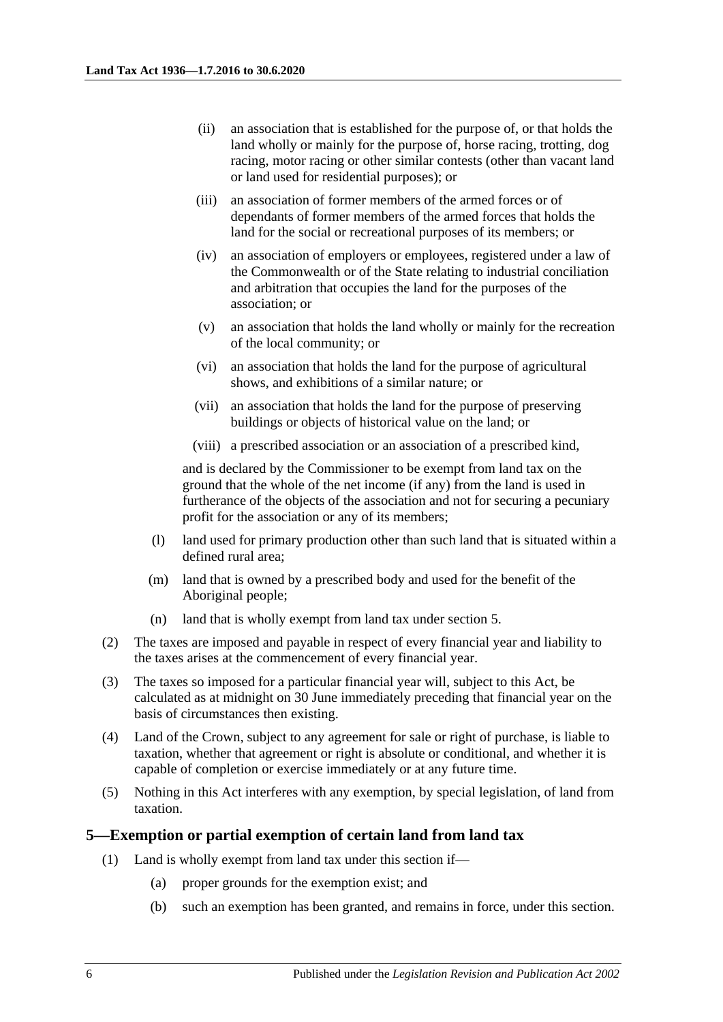- (ii) an association that is established for the purpose of, or that holds the land wholly or mainly for the purpose of, horse racing, trotting, dog racing, motor racing or other similar contests (other than vacant land or land used for residential purposes); or
- (iii) an association of former members of the armed forces or of dependants of former members of the armed forces that holds the land for the social or recreational purposes of its members; or
- (iv) an association of employers or employees, registered under a law of the Commonwealth or of the State relating to industrial conciliation and arbitration that occupies the land for the purposes of the association; or
- (v) an association that holds the land wholly or mainly for the recreation of the local community; or
- (vi) an association that holds the land for the purpose of agricultural shows, and exhibitions of a similar nature; or
- (vii) an association that holds the land for the purpose of preserving buildings or objects of historical value on the land; or
- (viii) a prescribed association or an association of a prescribed kind,

and is declared by the Commissioner to be exempt from land tax on the ground that the whole of the net income (if any) from the land is used in furtherance of the objects of the association and not for securing a pecuniary profit for the association or any of its members;

- (l) land used for primary production other than such land that is situated within a defined rural area;
- (m) land that is owned by a prescribed body and used for the benefit of the Aboriginal people;
- (n) land that is wholly exempt from land tax under [section](#page-5-0) 5.
- (2) The taxes are imposed and payable in respect of every financial year and liability to the taxes arises at the commencement of every financial year.
- (3) The taxes so imposed for a particular financial year will, subject to this Act, be calculated as at midnight on 30 June immediately preceding that financial year on the basis of circumstances then existing.
- (4) Land of the Crown, subject to any agreement for sale or right of purchase, is liable to taxation, whether that agreement or right is absolute or conditional, and whether it is capable of completion or exercise immediately or at any future time.
- (5) Nothing in this Act interferes with any exemption, by special legislation, of land from taxation.

#### <span id="page-5-0"></span>**5—Exemption or partial exemption of certain land from land tax**

- (1) Land is wholly exempt from land tax under this section if—
	- (a) proper grounds for the exemption exist; and
	- (b) such an exemption has been granted, and remains in force, under this section.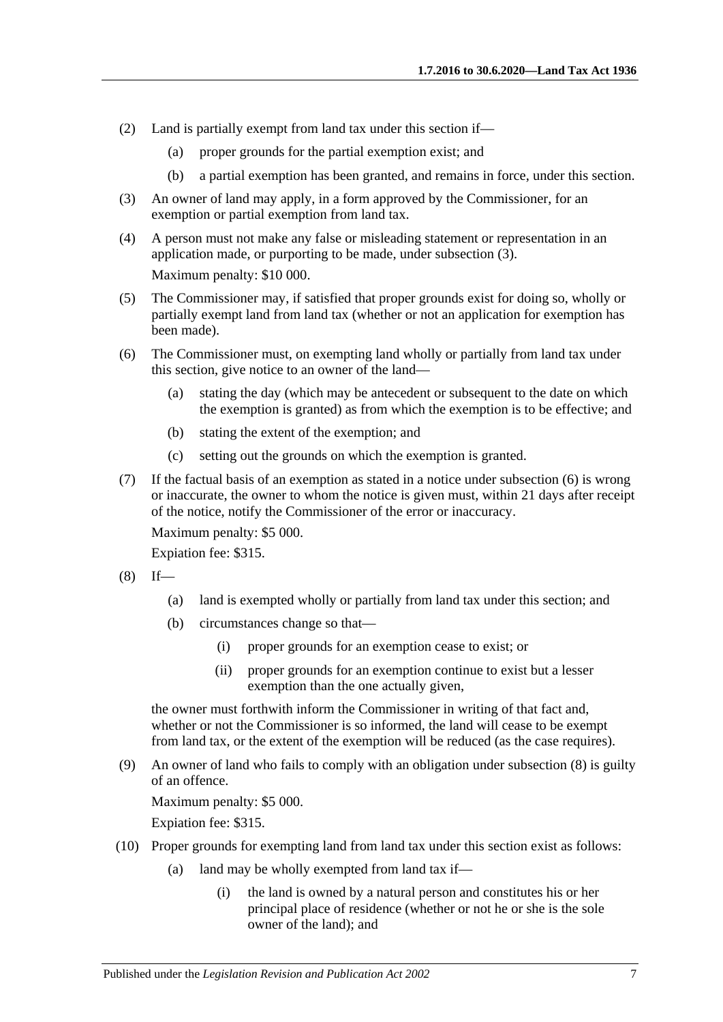- (2) Land is partially exempt from land tax under this section if—
	- (a) proper grounds for the partial exemption exist; and
	- (b) a partial exemption has been granted, and remains in force, under this section.
- <span id="page-6-0"></span>(3) An owner of land may apply, in a form approved by the Commissioner, for an exemption or partial exemption from land tax.
- (4) A person must not make any false or misleading statement or representation in an application made, or purporting to be made, under [subsection](#page-6-0) (3). Maximum penalty: \$10 000.
- (5) The Commissioner may, if satisfied that proper grounds exist for doing so, wholly or partially exempt land from land tax (whether or not an application for exemption has been made).
- <span id="page-6-1"></span>(6) The Commissioner must, on exempting land wholly or partially from land tax under this section, give notice to an owner of the land—
	- (a) stating the day (which may be antecedent or subsequent to the date on which the exemption is granted) as from which the exemption is to be effective; and
	- (b) stating the extent of the exemption; and
	- (c) setting out the grounds on which the exemption is granted.
- (7) If the factual basis of an exemption as stated in a notice under [subsection](#page-6-1) (6) is wrong or inaccurate, the owner to whom the notice is given must, within 21 days after receipt of the notice, notify the Commissioner of the error or inaccuracy.

Maximum penalty: \$5 000.

Expiation fee: \$315.

- <span id="page-6-2"></span> $(8)$  If—
	- (a) land is exempted wholly or partially from land tax under this section; and
	- (b) circumstances change so that—
		- (i) proper grounds for an exemption cease to exist; or
		- (ii) proper grounds for an exemption continue to exist but a lesser exemption than the one actually given,

the owner must forthwith inform the Commissioner in writing of that fact and, whether or not the Commissioner is so informed, the land will cease to be exempt from land tax, or the extent of the exemption will be reduced (as the case requires).

(9) An owner of land who fails to comply with an obligation under [subsection](#page-6-2) (8) is guilty of an offence.

Maximum penalty: \$5 000.

Expiation fee: \$315.

- <span id="page-6-3"></span>(10) Proper grounds for exempting land from land tax under this section exist as follows:
	- (a) land may be wholly exempted from land tax if—
		- (i) the land is owned by a natural person and constitutes his or her principal place of residence (whether or not he or she is the sole owner of the land); and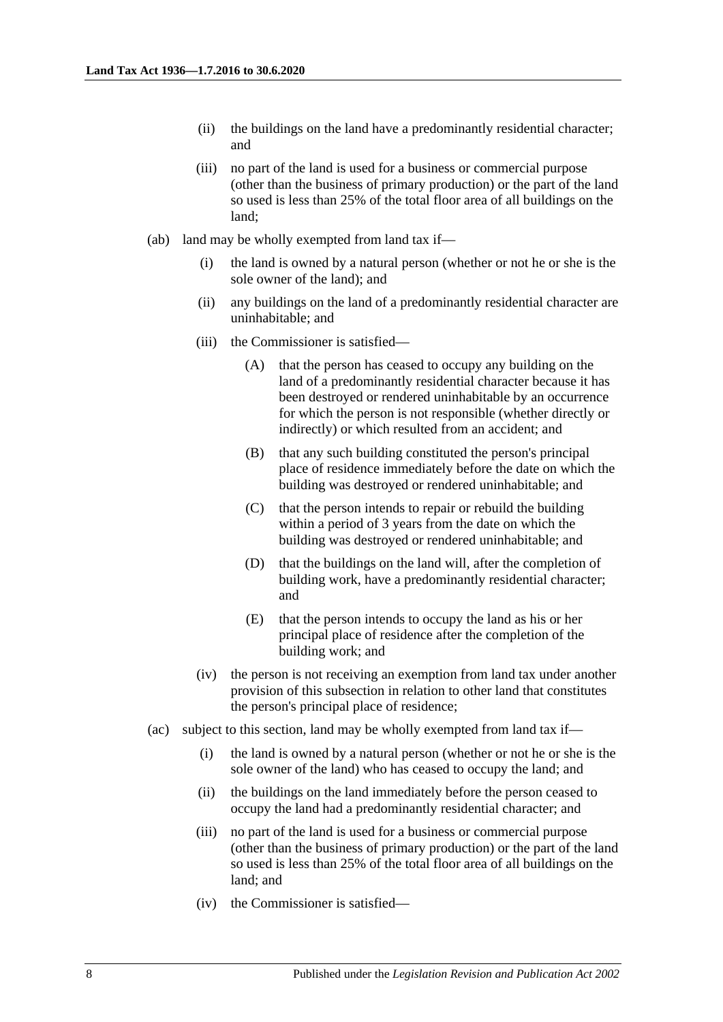- (ii) the buildings on the land have a predominantly residential character; and
- (iii) no part of the land is used for a business or commercial purpose (other than the business of primary production) or the part of the land so used is less than 25% of the total floor area of all buildings on the land;
- <span id="page-7-1"></span>(ab) land may be wholly exempted from land tax if—
	- (i) the land is owned by a natural person (whether or not he or she is the sole owner of the land); and
	- (ii) any buildings on the land of a predominantly residential character are uninhabitable; and
	- (iii) the Commissioner is satisfied—
		- (A) that the person has ceased to occupy any building on the land of a predominantly residential character because it has been destroyed or rendered uninhabitable by an occurrence for which the person is not responsible (whether directly or indirectly) or which resulted from an accident; and
		- (B) that any such building constituted the person's principal place of residence immediately before the date on which the building was destroyed or rendered uninhabitable; and
		- (C) that the person intends to repair or rebuild the building within a period of 3 years from the date on which the building was destroyed or rendered uninhabitable; and
		- (D) that the buildings on the land will, after the completion of building work, have a predominantly residential character; and
		- (E) that the person intends to occupy the land as his or her principal place of residence after the completion of the building work; and
	- (iv) the person is not receiving an exemption from land tax under another provision of this subsection in relation to other land that constitutes the person's principal place of residence;
- <span id="page-7-0"></span>(ac) subject to this section, land may be wholly exempted from land tax if—
	- (i) the land is owned by a natural person (whether or not he or she is the sole owner of the land) who has ceased to occupy the land; and
	- (ii) the buildings on the land immediately before the person ceased to occupy the land had a predominantly residential character; and
	- (iii) no part of the land is used for a business or commercial purpose (other than the business of primary production) or the part of the land so used is less than 25% of the total floor area of all buildings on the land; and
	- (iv) the Commissioner is satisfied—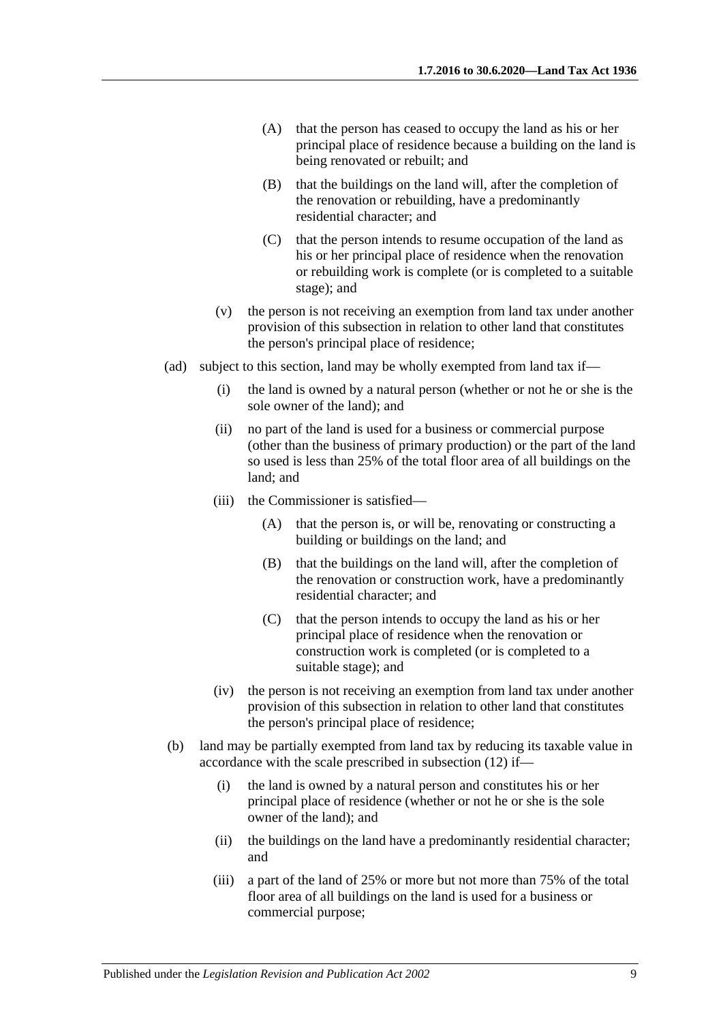- (A) that the person has ceased to occupy the land as his or her principal place of residence because a building on the land is being renovated or rebuilt; and
- (B) that the buildings on the land will, after the completion of the renovation or rebuilding, have a predominantly residential character; and
- (C) that the person intends to resume occupation of the land as his or her principal place of residence when the renovation or rebuilding work is complete (or is completed to a suitable stage); and
- (v) the person is not receiving an exemption from land tax under another provision of this subsection in relation to other land that constitutes the person's principal place of residence;
- <span id="page-8-0"></span>(ad) subject to this section, land may be wholly exempted from land tax if—
	- (i) the land is owned by a natural person (whether or not he or she is the sole owner of the land); and
	- (ii) no part of the land is used for a business or commercial purpose (other than the business of primary production) or the part of the land so used is less than 25% of the total floor area of all buildings on the land; and
	- (iii) the Commissioner is satisfied—
		- (A) that the person is, or will be, renovating or constructing a building or buildings on the land; and
		- (B) that the buildings on the land will, after the completion of the renovation or construction work, have a predominantly residential character; and
		- (C) that the person intends to occupy the land as his or her principal place of residence when the renovation or construction work is completed (or is completed to a suitable stage); and
	- (iv) the person is not receiving an exemption from land tax under another provision of this subsection in relation to other land that constitutes the person's principal place of residence;
- <span id="page-8-1"></span>(b) land may be partially exempted from land tax by reducing its taxable value in accordance with the scale prescribed in [subsection](#page-12-0) (12) if—
	- (i) the land is owned by a natural person and constitutes his or her principal place of residence (whether or not he or she is the sole owner of the land); and
	- (ii) the buildings on the land have a predominantly residential character; and
	- (iii) a part of the land of 25% or more but not more than 75% of the total floor area of all buildings on the land is used for a business or commercial purpose;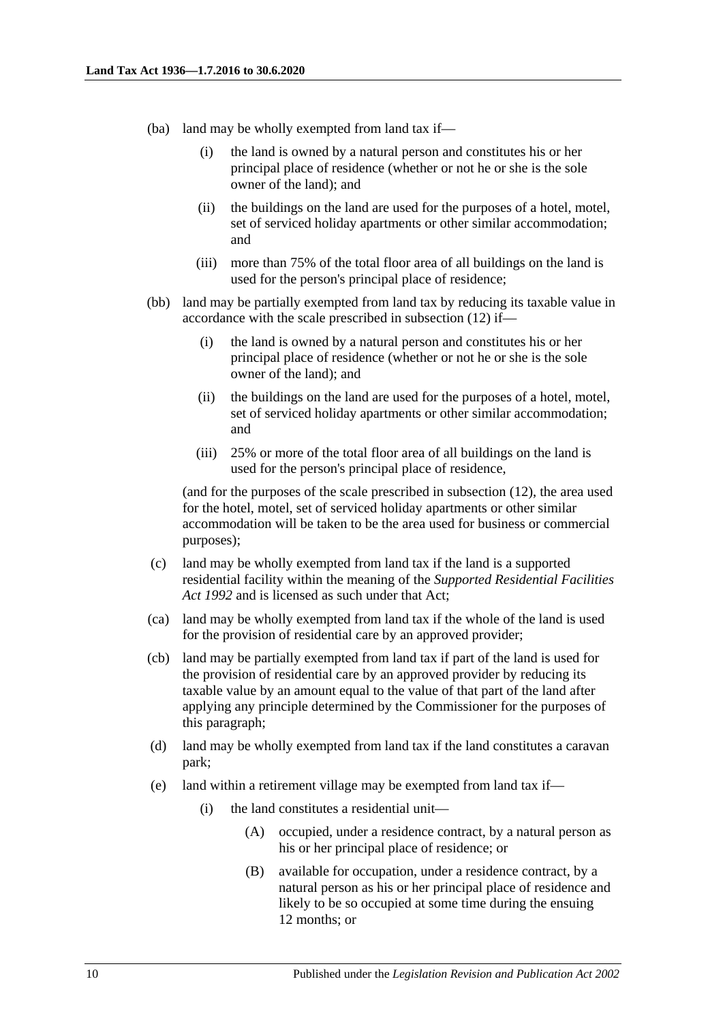- (ba) land may be wholly exempted from land tax if—
	- (i) the land is owned by a natural person and constitutes his or her principal place of residence (whether or not he or she is the sole owner of the land); and
	- (ii) the buildings on the land are used for the purposes of a hotel, motel, set of serviced holiday apartments or other similar accommodation; and
	- (iii) more than 75% of the total floor area of all buildings on the land is used for the person's principal place of residence;
- <span id="page-9-0"></span>(bb) land may be partially exempted from land tax by reducing its taxable value in accordance with the scale prescribed in [subsection](#page-12-0) (12) if—
	- (i) the land is owned by a natural person and constitutes his or her principal place of residence (whether or not he or she is the sole owner of the land); and
	- (ii) the buildings on the land are used for the purposes of a hotel, motel, set of serviced holiday apartments or other similar accommodation; and
	- (iii) 25% or more of the total floor area of all buildings on the land is used for the person's principal place of residence,

(and for the purposes of the scale prescribed in [subsection](#page-12-0) (12), the area used for the hotel, motel, set of serviced holiday apartments or other similar accommodation will be taken to be the area used for business or commercial purposes);

- (c) land may be wholly exempted from land tax if the land is a supported residential facility within the meaning of the *[Supported Residential Facilities](http://www.legislation.sa.gov.au/index.aspx?action=legref&type=act&legtitle=Supported%20Residential%20Facilities%20Act%201992)  Act [1992](http://www.legislation.sa.gov.au/index.aspx?action=legref&type=act&legtitle=Supported%20Residential%20Facilities%20Act%201992)* and is licensed as such under that Act;
- (ca) land may be wholly exempted from land tax if the whole of the land is used for the provision of residential care by an approved provider;
- (cb) land may be partially exempted from land tax if part of the land is used for the provision of residential care by an approved provider by reducing its taxable value by an amount equal to the value of that part of the land after applying any principle determined by the Commissioner for the purposes of this paragraph;
- (d) land may be wholly exempted from land tax if the land constitutes a caravan park;
- (e) land within a retirement village may be exempted from land tax if—
	- (i) the land constitutes a residential unit—
		- (A) occupied, under a residence contract, by a natural person as his or her principal place of residence; or
		- (B) available for occupation, under a residence contract, by a natural person as his or her principal place of residence and likely to be so occupied at some time during the ensuing 12 months; or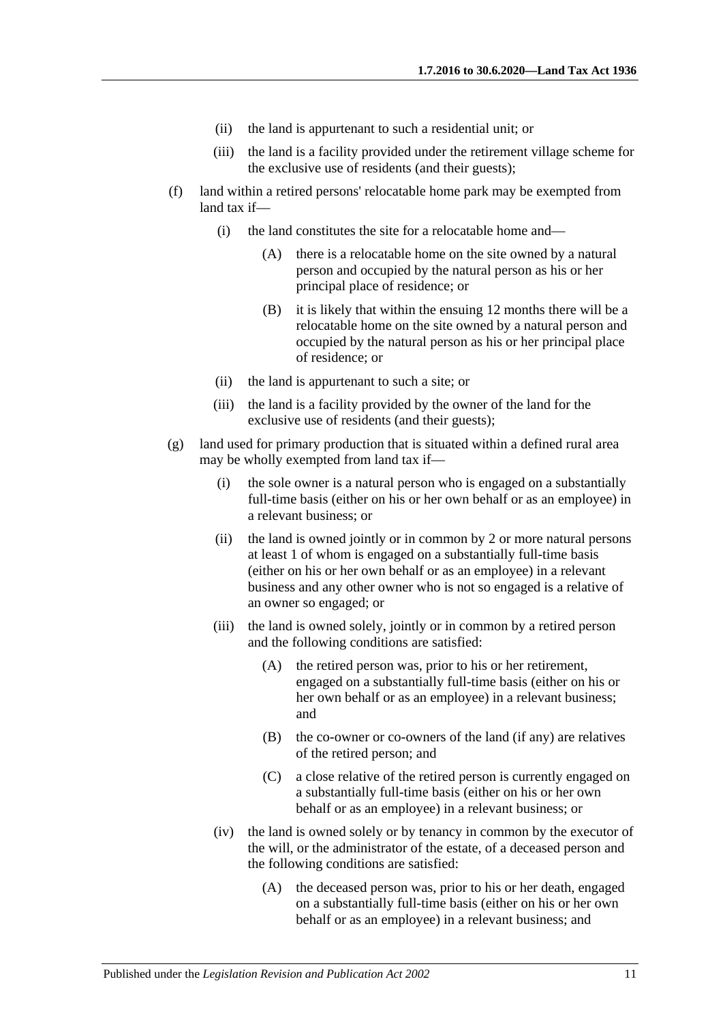- (ii) the land is appurtenant to such a residential unit; or
- (iii) the land is a facility provided under the retirement village scheme for the exclusive use of residents (and their guests);
- (f) land within a retired persons' relocatable home park may be exempted from land tax if—
	- (i) the land constitutes the site for a relocatable home and—
		- (A) there is a relocatable home on the site owned by a natural person and occupied by the natural person as his or her principal place of residence; or
		- (B) it is likely that within the ensuing 12 months there will be a relocatable home on the site owned by a natural person and occupied by the natural person as his or her principal place of residence; or
	- (ii) the land is appurtenant to such a site; or
	- (iii) the land is a facility provided by the owner of the land for the exclusive use of residents (and their guests);
- (g) land used for primary production that is situated within a defined rural area may be wholly exempted from land tax if—
	- (i) the sole owner is a natural person who is engaged on a substantially full-time basis (either on his or her own behalf or as an employee) in a relevant business; or
	- (ii) the land is owned jointly or in common by 2 or more natural persons at least 1 of whom is engaged on a substantially full-time basis (either on his or her own behalf or as an employee) in a relevant business and any other owner who is not so engaged is a relative of an owner so engaged; or
	- (iii) the land is owned solely, jointly or in common by a retired person and the following conditions are satisfied:
		- (A) the retired person was, prior to his or her retirement, engaged on a substantially full-time basis (either on his or her own behalf or as an employee) in a relevant business; and
		- (B) the co-owner or co-owners of the land (if any) are relatives of the retired person; and
		- (C) a close relative of the retired person is currently engaged on a substantially full-time basis (either on his or her own behalf or as an employee) in a relevant business; or
	- (iv) the land is owned solely or by tenancy in common by the executor of the will, or the administrator of the estate, of a deceased person and the following conditions are satisfied:
		- (A) the deceased person was, prior to his or her death, engaged on a substantially full-time basis (either on his or her own behalf or as an employee) in a relevant business; and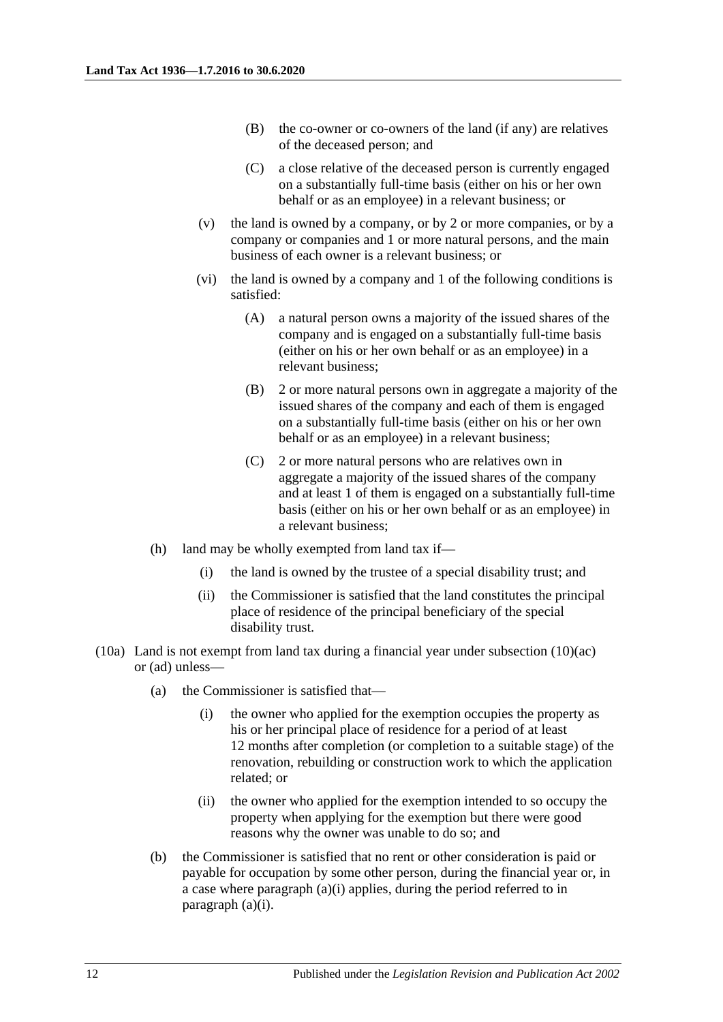- (B) the co-owner or co-owners of the land (if any) are relatives of the deceased person; and
- (C) a close relative of the deceased person is currently engaged on a substantially full-time basis (either on his or her own behalf or as an employee) in a relevant business; or
- (v) the land is owned by a company, or by 2 or more companies, or by a company or companies and 1 or more natural persons, and the main business of each owner is a relevant business; or
- (vi) the land is owned by a company and 1 of the following conditions is satisfied:
	- (A) a natural person owns a majority of the issued shares of the company and is engaged on a substantially full-time basis (either on his or her own behalf or as an employee) in a relevant business;
	- (B) 2 or more natural persons own in aggregate a majority of the issued shares of the company and each of them is engaged on a substantially full-time basis (either on his or her own behalf or as an employee) in a relevant business;
	- (C) 2 or more natural persons who are relatives own in aggregate a majority of the issued shares of the company and at least 1 of them is engaged on a substantially full-time basis (either on his or her own behalf or as an employee) in a relevant business;
- (h) land may be wholly exempted from land tax if—
	- (i) the land is owned by the trustee of a special disability trust; and
	- (ii) the Commissioner is satisfied that the land constitutes the principal place of residence of the principal beneficiary of the special disability trust.
- <span id="page-11-0"></span>(10a) Land is not exempt from land tax during a financial year under [subsection](#page-7-0) (10)(ac) or (ad) unless—
	- (a) the Commissioner is satisfied that—
		- (i) the owner who applied for the exemption occupies the property as his or her principal place of residence for a period of at least 12 months after completion (or completion to a suitable stage) of the renovation, rebuilding or construction work to which the application related; or
		- (ii) the owner who applied for the exemption intended to so occupy the property when applying for the exemption but there were good reasons why the owner was unable to do so; and
	- (b) the Commissioner is satisfied that no rent or other consideration is paid or payable for occupation by some other person, during the financial year or, in a case where [paragraph](#page-11-0) (a)(i) applies, during the period referred to in [paragraph](#page-11-0) (a)(i).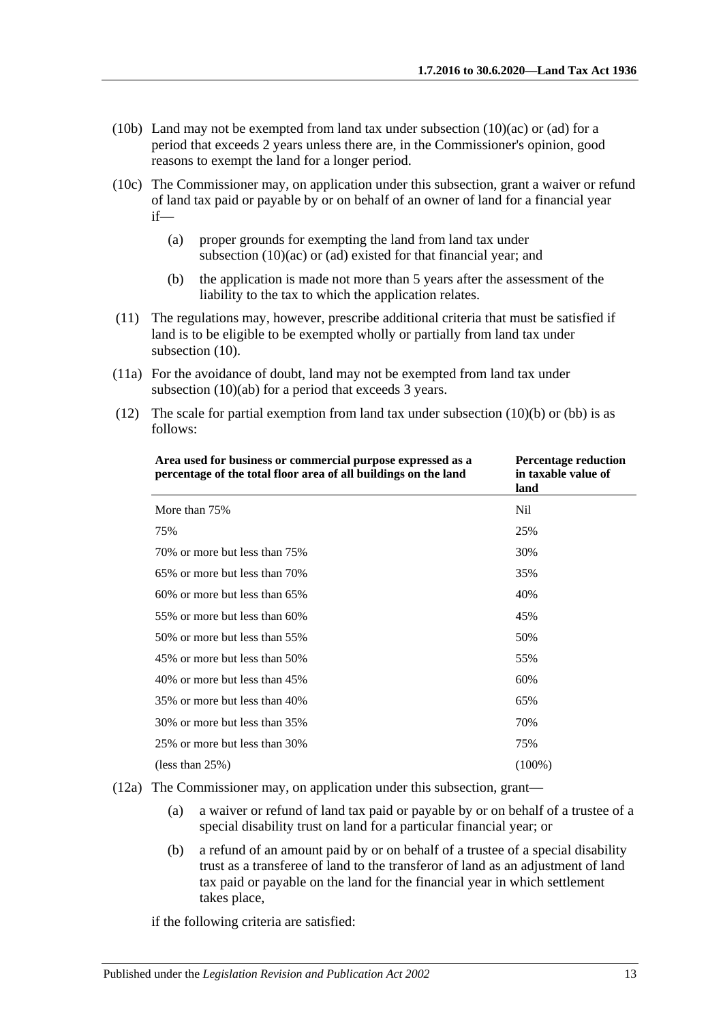- (10b) Land may not be exempted from land tax under [subsection](#page-7-0) (10)(ac) or [\(ad\)](#page-8-0) for a period that exceeds 2 years unless there are, in the Commissioner's opinion, good reasons to exempt the land for a longer period.
- (10c) The Commissioner may, on application under this subsection, grant a waiver or refund of land tax paid or payable by or on behalf of an owner of land for a financial year if—
	- (a) proper grounds for exempting the land from land tax under [subsection](#page-7-0) (10)(ac) or [\(ad\)](#page-8-0) existed for that financial year; and
	- (b) the application is made not more than 5 years after the assessment of the liability to the tax to which the application relates.
- (11) The regulations may, however, prescribe additional criteria that must be satisfied if land is to be eligible to be exempted wholly or partially from land tax under [subsection](#page-6-3) (10).
- (11a) For the avoidance of doubt, land may not be exempted from land tax under [subsection](#page-7-1) (10)(ab) for a period that exceeds 3 years.
- <span id="page-12-0"></span>(12) The scale for partial exemption from land tax under [subsection](#page-8-1)  $(10)(b)$  or  $(bb)$  is as follows:

| Area used for business or commercial purpose expressed as a<br>percentage of the total floor area of all buildings on the land | <b>Percentage reduction</b><br>in taxable value of<br>land |  |
|--------------------------------------------------------------------------------------------------------------------------------|------------------------------------------------------------|--|
| More than 75%                                                                                                                  | Nil                                                        |  |
| 75%                                                                                                                            | 25%                                                        |  |
| 70\% or more but less than 75\%                                                                                                | 30%                                                        |  |
| 65% or more but less than 70%                                                                                                  | 35%                                                        |  |
| $60\%$ or more but less than $65\%$                                                                                            | 40%                                                        |  |
| 55% or more but less than 60%                                                                                                  | 45%                                                        |  |
| 50% or more but less than 55%                                                                                                  | 50%                                                        |  |
| 45% or more but less than 50%                                                                                                  | 55%                                                        |  |
| 40% or more but less than 45%                                                                                                  | 60%                                                        |  |
| 35% or more but less than 40%                                                                                                  | 65%                                                        |  |
| 30% or more but less than 35%                                                                                                  | 70%                                                        |  |
| 25% or more but less than 30%                                                                                                  | 75%                                                        |  |
| (less than $25\%$ )                                                                                                            | $(100\%)$                                                  |  |

#### (12a) The Commissioner may, on application under this subsection, grant—

- (a) a waiver or refund of land tax paid or payable by or on behalf of a trustee of a special disability trust on land for a particular financial year; or
- (b) a refund of an amount paid by or on behalf of a trustee of a special disability trust as a transferee of land to the transferor of land as an adjustment of land tax paid or payable on the land for the financial year in which settlement takes place,

if the following criteria are satisfied: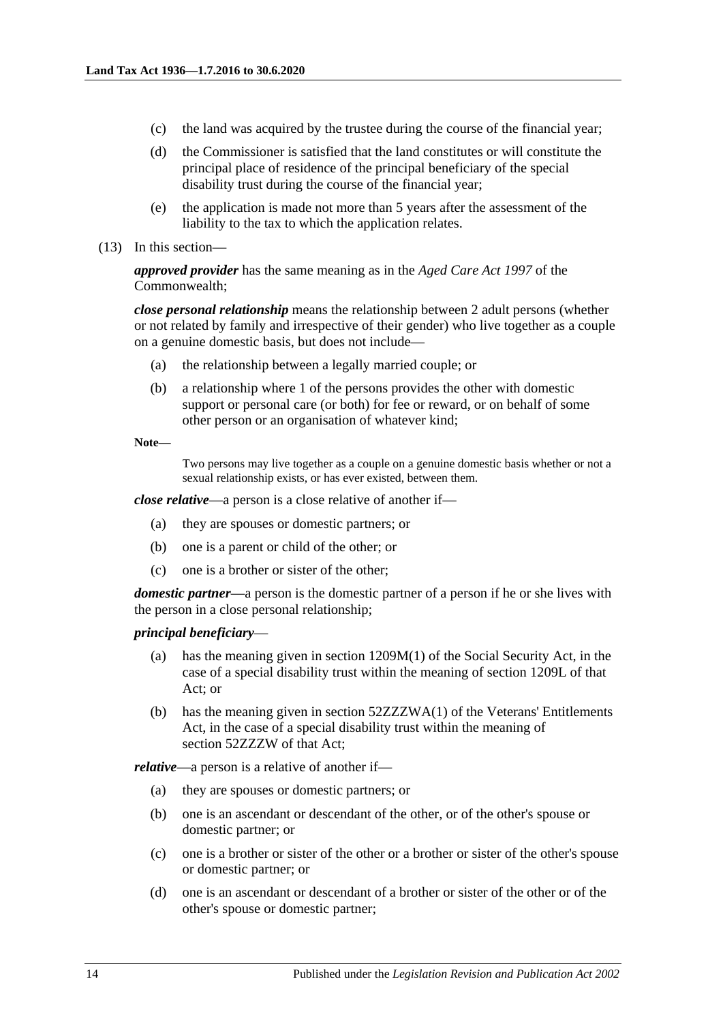- (c) the land was acquired by the trustee during the course of the financial year;
- (d) the Commissioner is satisfied that the land constitutes or will constitute the principal place of residence of the principal beneficiary of the special disability trust during the course of the financial year;
- (e) the application is made not more than 5 years after the assessment of the liability to the tax to which the application relates.
- (13) In this section—

*approved provider* has the same meaning as in the *Aged Care Act 1997* of the Commonwealth;

*close personal relationship* means the relationship between 2 adult persons (whether or not related by family and irrespective of their gender) who live together as a couple on a genuine domestic basis, but does not include—

- (a) the relationship between a legally married couple; or
- (b) a relationship where 1 of the persons provides the other with domestic support or personal care (or both) for fee or reward, or on behalf of some other person or an organisation of whatever kind;

#### **Note—**

Two persons may live together as a couple on a genuine domestic basis whether or not a sexual relationship exists, or has ever existed, between them.

*close relative*—a person is a close relative of another if—

- (a) they are spouses or domestic partners; or
- (b) one is a parent or child of the other; or
- (c) one is a brother or sister of the other;

*domestic partner*—a person is the domestic partner of a person if he or she lives with the person in a close personal relationship;

#### *principal beneficiary*—

- (a) has the meaning given in section 1209M(1) of the Social Security Act, in the case of a special disability trust within the meaning of section 1209L of that Act; or
- (b) has the meaning given in section 52ZZZWA(1) of the Veterans' Entitlements Act, in the case of a special disability trust within the meaning of section 52ZZZW of that Act;

*relative*—a person is a relative of another if—

- (a) they are spouses or domestic partners; or
- (b) one is an ascendant or descendant of the other, or of the other's spouse or domestic partner; or
- (c) one is a brother or sister of the other or a brother or sister of the other's spouse or domestic partner; or
- (d) one is an ascendant or descendant of a brother or sister of the other or of the other's spouse or domestic partner;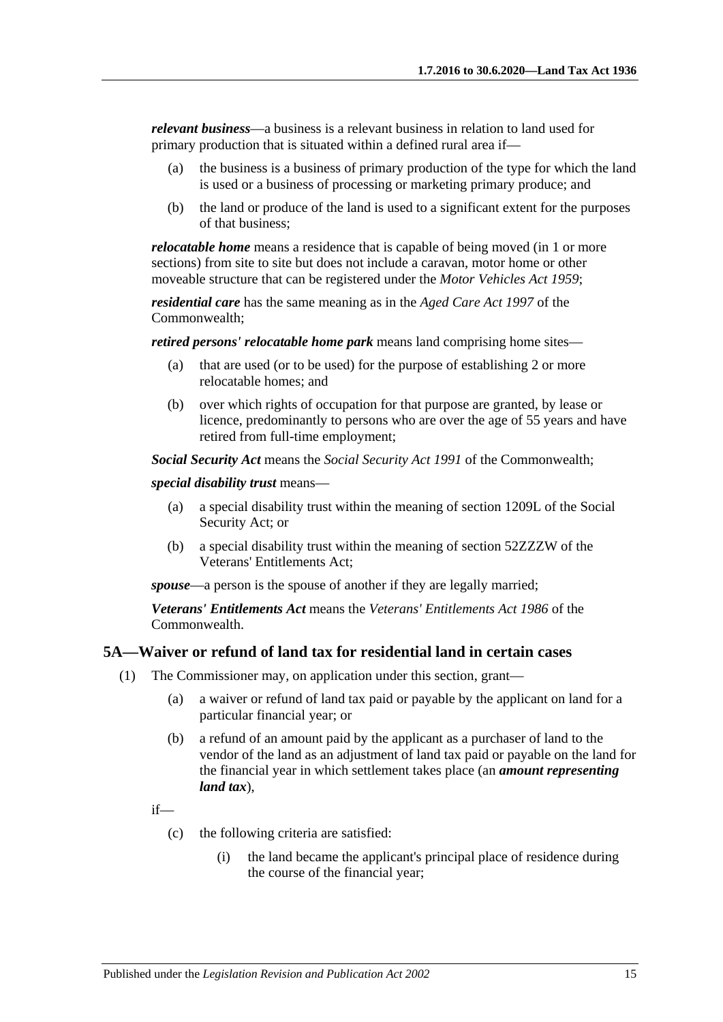*relevant business*—a business is a relevant business in relation to land used for primary production that is situated within a defined rural area if—

- (a) the business is a business of primary production of the type for which the land is used or a business of processing or marketing primary produce; and
- (b) the land or produce of the land is used to a significant extent for the purposes of that business;

*relocatable home* means a residence that is capable of being moved (in 1 or more sections) from site to site but does not include a caravan, motor home or other moveable structure that can be registered under the *[Motor Vehicles Act](http://www.legislation.sa.gov.au/index.aspx?action=legref&type=act&legtitle=Motor%20Vehicles%20Act%201959) 1959*;

*residential care* has the same meaning as in the *Aged Care Act 1997* of the Commonwealth;

*retired persons' relocatable home park* means land comprising home sites—

- (a) that are used (or to be used) for the purpose of establishing 2 or more relocatable homes; and
- (b) over which rights of occupation for that purpose are granted, by lease or licence, predominantly to persons who are over the age of 55 years and have retired from full-time employment;

*Social Security Act* means the *Social Security Act 1991* of the Commonwealth;

*special disability trust* means—

- (a) a special disability trust within the meaning of section 1209L of the Social Security Act; or
- (b) a special disability trust within the meaning of section 52ZZZW of the Veterans' Entitlements Act;

*spouse*—a person is the spouse of another if they are legally married;

*Veterans' Entitlements Act* means the *Veterans' Entitlements Act 1986* of the Commonwealth.

## <span id="page-14-1"></span><span id="page-14-0"></span>**5A—Waiver or refund of land tax for residential land in certain cases**

- (1) The Commissioner may, on application under this section, grant—
	- (a) a waiver or refund of land tax paid or payable by the applicant on land for a particular financial year; or
	- (b) a refund of an amount paid by the applicant as a purchaser of land to the vendor of the land as an adjustment of land tax paid or payable on the land for the financial year in which settlement takes place (an *amount representing land tax*),

if—

- (c) the following criteria are satisfied:
	- (i) the land became the applicant's principal place of residence during the course of the financial year;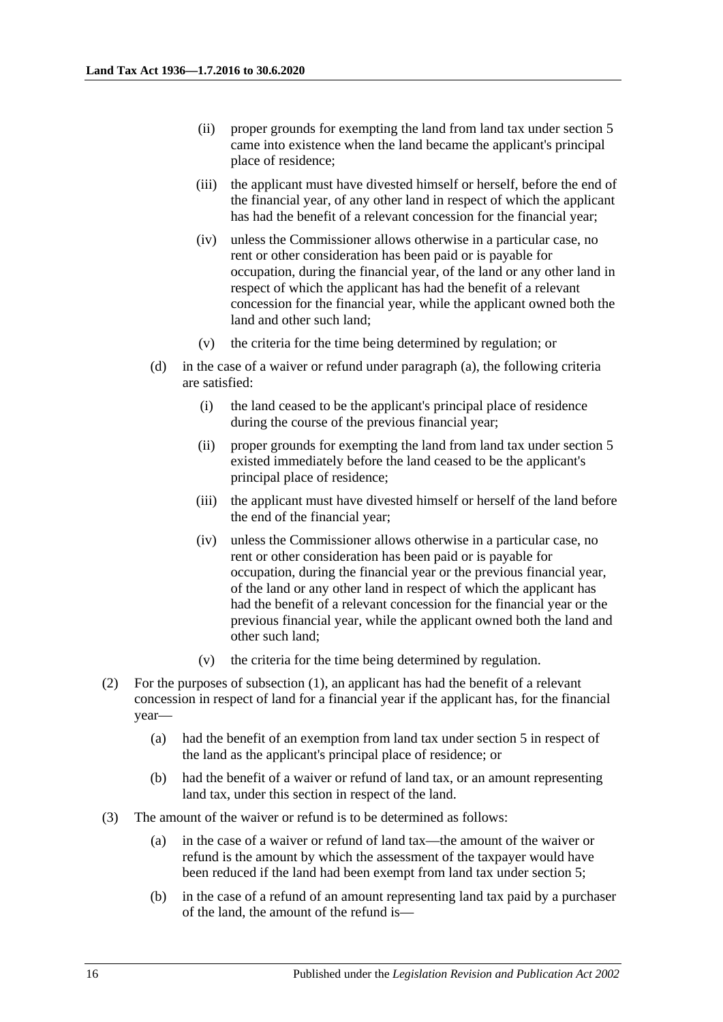- (ii) proper grounds for exempting the land from land tax under [section](#page-5-0) 5 came into existence when the land became the applicant's principal place of residence;
- (iii) the applicant must have divested himself or herself, before the end of the financial year, of any other land in respect of which the applicant has had the benefit of a relevant concession for the financial year;
- (iv) unless the Commissioner allows otherwise in a particular case, no rent or other consideration has been paid or is payable for occupation, during the financial year, of the land or any other land in respect of which the applicant has had the benefit of a relevant concession for the financial year, while the applicant owned both the land and other such land;
- (v) the criteria for the time being determined by regulation; or
- (d) in the case of a waiver or refund under paragraph (a), the following criteria are satisfied:
	- (i) the land ceased to be the applicant's principal place of residence during the course of the previous financial year;
	- (ii) proper grounds for exempting the land from land tax under [section](#page-5-0) 5 existed immediately before the land ceased to be the applicant's principal place of residence;
	- (iii) the applicant must have divested himself or herself of the land before the end of the financial year;
	- (iv) unless the Commissioner allows otherwise in a particular case, no rent or other consideration has been paid or is payable for occupation, during the financial year or the previous financial year, of the land or any other land in respect of which the applicant has had the benefit of a relevant concession for the financial year or the previous financial year, while the applicant owned both the land and other such land;
	- (v) the criteria for the time being determined by regulation.
- (2) For the purposes of [subsection](#page-14-1) (1), an applicant has had the benefit of a relevant concession in respect of land for a financial year if the applicant has, for the financial year—
	- (a) had the benefit of an exemption from land tax under [section](#page-5-0) 5 in respect of the land as the applicant's principal place of residence; or
	- (b) had the benefit of a waiver or refund of land tax, or an amount representing land tax, under this section in respect of the land.
- (3) The amount of the waiver or refund is to be determined as follows:
	- (a) in the case of a waiver or refund of land tax—the amount of the waiver or refund is the amount by which the assessment of the taxpayer would have been reduced if the land had been exempt from land tax under [section](#page-5-0) 5;
	- (b) in the case of a refund of an amount representing land tax paid by a purchaser of the land, the amount of the refund is—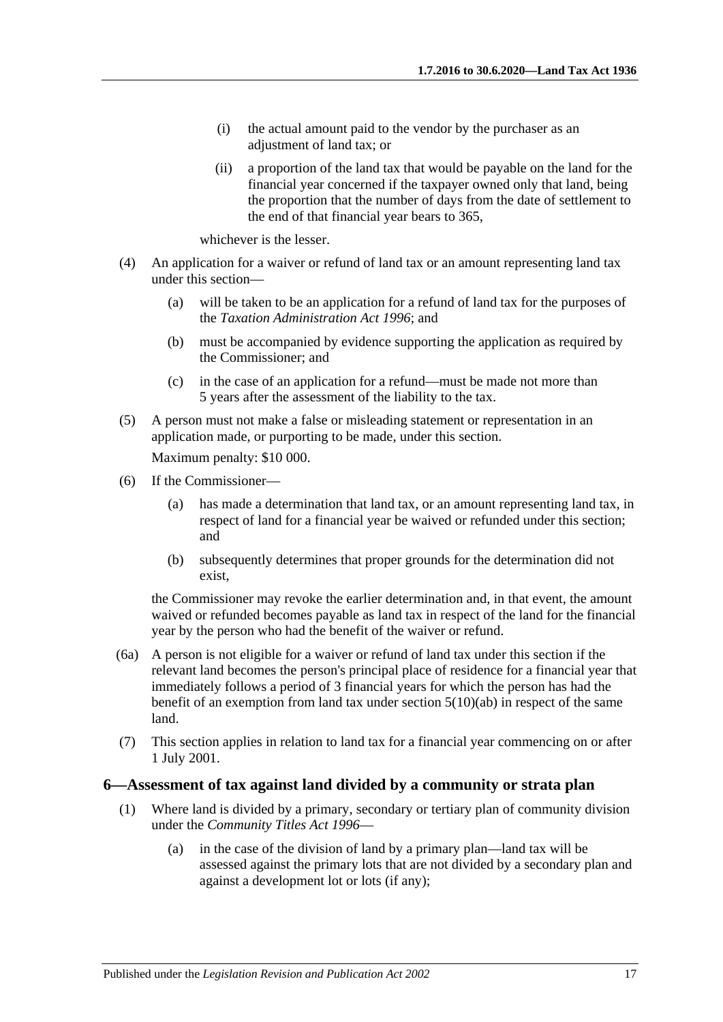- (i) the actual amount paid to the vendor by the purchaser as an adjustment of land tax; or
- (ii) a proportion of the land tax that would be payable on the land for the financial year concerned if the taxpayer owned only that land, being the proportion that the number of days from the date of settlement to the end of that financial year bears to 365,

whichever is the lesser.

- (4) An application for a waiver or refund of land tax or an amount representing land tax under this section—
	- (a) will be taken to be an application for a refund of land tax for the purposes of the *[Taxation Administration Act](http://www.legislation.sa.gov.au/index.aspx?action=legref&type=act&legtitle=Taxation%20Administration%20Act%201996) 1996*; and
	- (b) must be accompanied by evidence supporting the application as required by the Commissioner; and
	- (c) in the case of an application for a refund—must be made not more than 5 years after the assessment of the liability to the tax.
- (5) A person must not make a false or misleading statement or representation in an application made, or purporting to be made, under this section.

Maximum penalty: \$10 000.

- (6) If the Commissioner—
	- (a) has made a determination that land tax, or an amount representing land tax, in respect of land for a financial year be waived or refunded under this section; and
	- (b) subsequently determines that proper grounds for the determination did not exist,

the Commissioner may revoke the earlier determination and, in that event, the amount waived or refunded becomes payable as land tax in respect of the land for the financial year by the person who had the benefit of the waiver or refund.

- (6a) A person is not eligible for a waiver or refund of land tax under this section if the relevant land becomes the person's principal place of residence for a financial year that immediately follows a period of 3 financial years for which the person has had the benefit of an exemption from land tax under section [5\(10\)\(ab\)](#page-7-1) in respect of the same land.
- (7) This section applies in relation to land tax for a financial year commencing on or after 1 July 2001.

#### <span id="page-16-0"></span>**6—Assessment of tax against land divided by a community or strata plan**

- (1) Where land is divided by a primary, secondary or tertiary plan of community division under the *[Community Titles Act](http://www.legislation.sa.gov.au/index.aspx?action=legref&type=act&legtitle=Community%20Titles%20Act%201996) 1996*—
	- (a) in the case of the division of land by a primary plan—land tax will be assessed against the primary lots that are not divided by a secondary plan and against a development lot or lots (if any);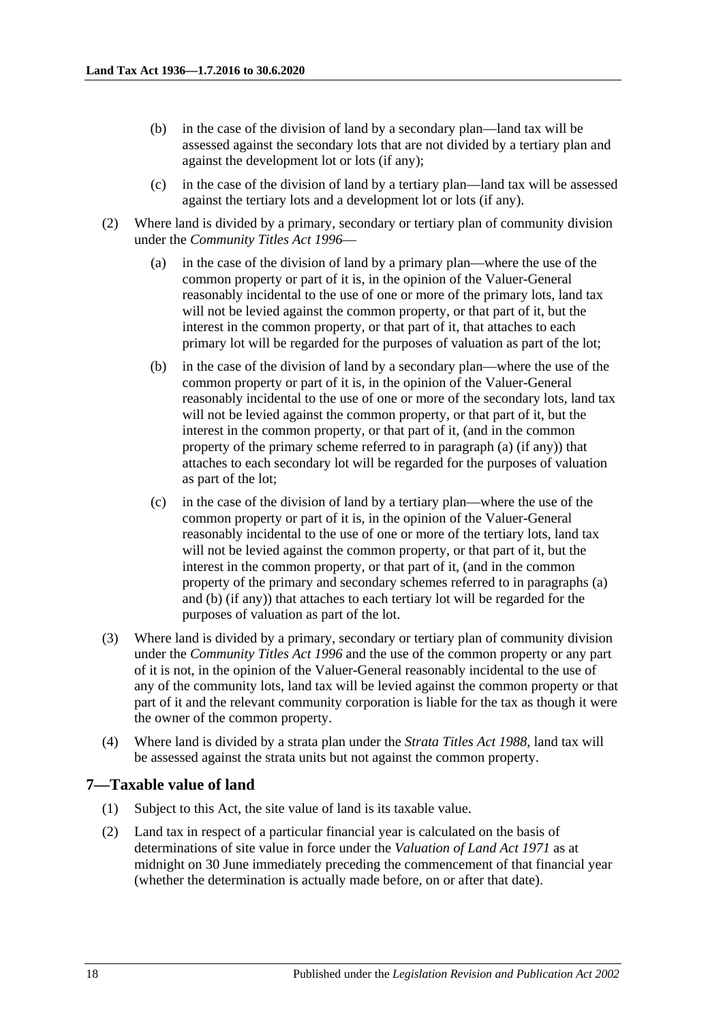- (b) in the case of the division of land by a secondary plan—land tax will be assessed against the secondary lots that are not divided by a tertiary plan and against the development lot or lots (if any);
- (c) in the case of the division of land by a tertiary plan—land tax will be assessed against the tertiary lots and a development lot or lots (if any).
- <span id="page-17-2"></span><span id="page-17-1"></span>(2) Where land is divided by a primary, secondary or tertiary plan of community division under the *[Community Titles Act](http://www.legislation.sa.gov.au/index.aspx?action=legref&type=act&legtitle=Community%20Titles%20Act%201996) 1996*—
	- (a) in the case of the division of land by a primary plan—where the use of the common property or part of it is, in the opinion of the Valuer-General reasonably incidental to the use of one or more of the primary lots, land tax will not be levied against the common property, or that part of it, but the interest in the common property, or that part of it, that attaches to each primary lot will be regarded for the purposes of valuation as part of the lot;
	- (b) in the case of the division of land by a secondary plan—where the use of the common property or part of it is, in the opinion of the Valuer-General reasonably incidental to the use of one or more of the secondary lots, land tax will not be levied against the common property, or that part of it, but the interest in the common property, or that part of it, (and in the common property of the primary scheme referred to in [paragraph](#page-17-1) (a) (if any)) that attaches to each secondary lot will be regarded for the purposes of valuation as part of the lot;
	- (c) in the case of the division of land by a tertiary plan—where the use of the common property or part of it is, in the opinion of the Valuer-General reasonably incidental to the use of one or more of the tertiary lots, land tax will not be levied against the common property, or that part of it, but the interest in the common property, or that part of it, (and in the common property of the primary and secondary schemes referred to in [paragraphs](#page-17-1) (a) and [\(b\)](#page-17-2) (if any)) that attaches to each tertiary lot will be regarded for the purposes of valuation as part of the lot.
- (3) Where land is divided by a primary, secondary or tertiary plan of community division under the *[Community Titles Act](http://www.legislation.sa.gov.au/index.aspx?action=legref&type=act&legtitle=Community%20Titles%20Act%201996) 1996* and the use of the common property or any part of it is not, in the opinion of the Valuer-General reasonably incidental to the use of any of the community lots, land tax will be levied against the common property or that part of it and the relevant community corporation is liable for the tax as though it were the owner of the common property.
- (4) Where land is divided by a strata plan under the *[Strata Titles Act](http://www.legislation.sa.gov.au/index.aspx?action=legref&type=act&legtitle=Strata%20Titles%20Act%201988) 1988*, land tax will be assessed against the strata units but not against the common property.

#### <span id="page-17-0"></span>**7—Taxable value of land**

- (1) Subject to this Act, the site value of land is its taxable value.
- <span id="page-17-3"></span>(2) Land tax in respect of a particular financial year is calculated on the basis of determinations of site value in force under the *[Valuation of Land Act](http://www.legislation.sa.gov.au/index.aspx?action=legref&type=act&legtitle=Valuation%20of%20Land%20Act%201971) 1971* as at midnight on 30 June immediately preceding the commencement of that financial year (whether the determination is actually made before, on or after that date).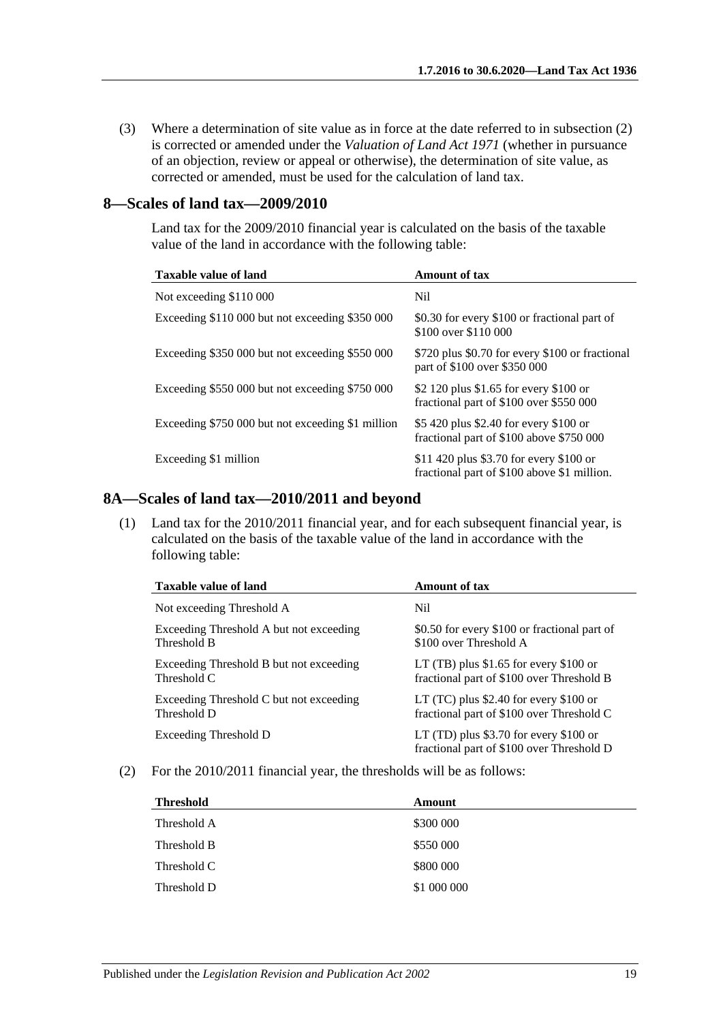(3) Where a determination of site value as in force at the date referred to in [subsection](#page-17-3) (2) is corrected or amended under the *[Valuation of Land Act](http://www.legislation.sa.gov.au/index.aspx?action=legref&type=act&legtitle=Valuation%20of%20Land%20Act%201971) 1971* (whether in pursuance of an objection, review or appeal or otherwise), the determination of site value, as corrected or amended, must be used for the calculation of land tax.

## <span id="page-18-0"></span>**8—Scales of land tax—2009/2010**

Land tax for the 2009/2010 financial year is calculated on the basis of the taxable value of the land in accordance with the following table:

| <b>Taxable value of land</b>                      | <b>Amount of tax</b>                                                                   |
|---------------------------------------------------|----------------------------------------------------------------------------------------|
| Not exceeding \$110 000                           | Nil                                                                                    |
| Exceeding \$110 000 but not exceeding \$350 000   | \$0.30 for every \$100 or fractional part of<br>\$100 over \$110 000                   |
| Exceeding \$350 000 but not exceeding \$550 000   | \$720 plus \$0.70 for every \$100 or fractional<br>part of \$100 over \$350 000        |
| Exceeding \$550 000 but not exceeding \$750 000   | \$2 120 plus \$1.65 for every \$100 or<br>fractional part of \$100 over \$550 000      |
| Exceeding \$750 000 but not exceeding \$1 million | \$5 420 plus \$2.40 for every \$100 or<br>fractional part of \$100 above \$750 000     |
| Exceeding \$1 million                             | \$11 420 plus \$3.70 for every \$100 or<br>fractional part of \$100 above \$1 million. |

## <span id="page-18-1"></span>**8A—Scales of land tax—2010/2011 and beyond**

(1) Land tax for the 2010/2011 financial year, and for each subsequent financial year, is calculated on the basis of the taxable value of the land in accordance with the following table:

| <b>Taxable value of land</b>            | <b>Amount of tax</b>                                                                  |
|-----------------------------------------|---------------------------------------------------------------------------------------|
| Not exceeding Threshold A               | Nil.                                                                                  |
| Exceeding Threshold A but not exceeding | \$0.50 for every \$100 or fractional part of                                          |
| Threshold B                             | \$100 over Threshold A                                                                |
| Exceeding Threshold B but not exceeding | LT (TB) plus $$1.65$ for every $$100$ or                                              |
| Threshold C                             | fractional part of \$100 over Threshold B                                             |
| Exceeding Threshold C but not exceeding | LT (TC) plus $$2.40$ for every $$100$ or                                              |
| Threshold D                             | fractional part of \$100 over Threshold C                                             |
| Exceeding Threshold D                   | LT (TD) plus $$3.70$ for every $$100$ or<br>fractional part of \$100 over Threshold D |

<span id="page-18-2"></span>(2) For the 2010/2011 financial year, the thresholds will be as follows:

| <b>Threshold</b> | Amount      |
|------------------|-------------|
| Threshold A      | \$300 000   |
| Threshold B      | \$550 000   |
| Threshold C      | \$800 000   |
| Threshold D      | \$1 000 000 |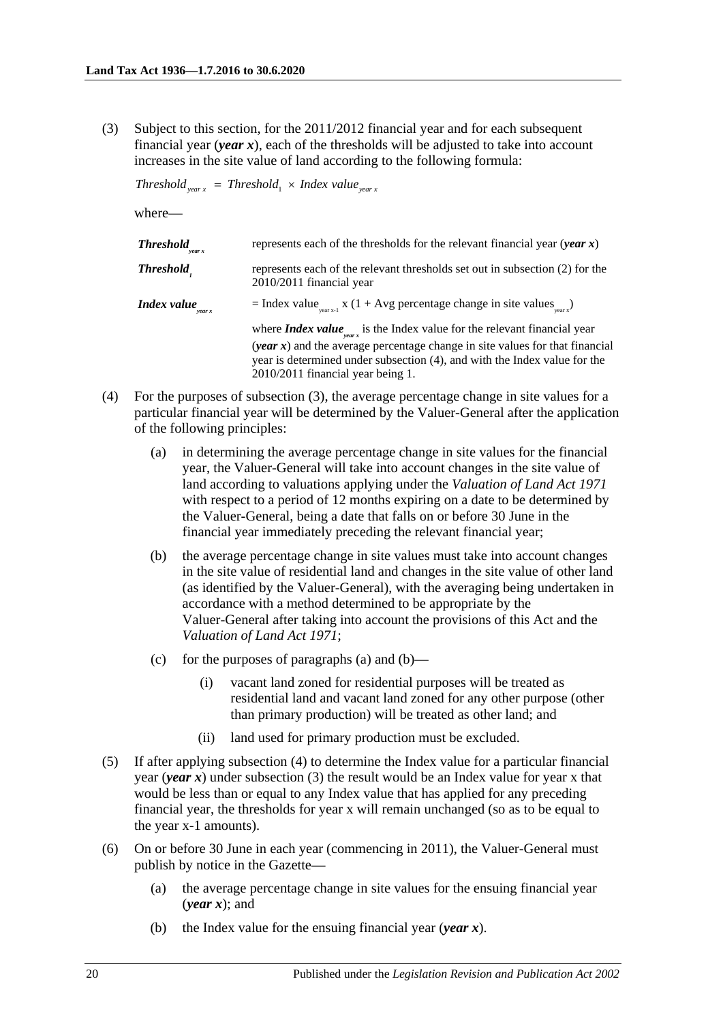<span id="page-19-1"></span>(3) Subject to this section, for the 2011/2012 financial year and for each subsequent financial year (*year*  $x$ ), each of the thresholds will be adjusted to take into account increases in the site value of land according to the following formula:

 $Threshold_{year x}$  =  $Threshold_{1} \times Index value_{year x}$ where— *Threshold x* represents each of the thresholds for the relevant financial year (*year x*) **Threshold** represents each of the relevant thresholds set out in [subsection](#page-18-2) (2) for the 2010/2011 financial year *Index value*<sub>vear</sub>  $=$  Index value<sub>vear x-1</sub> x (1 + Avg percentage change in site values<sub>year x</sub>) where *Index value*<sub>*vearx*</sub> is the Index value for the relevant financial year (*year x*) and the average percentage change in site values for that financial year is determined under [subsection](#page-19-0) (4), and with the Index value for the 2010/2011 financial year being 1.

- <span id="page-19-3"></span><span id="page-19-2"></span><span id="page-19-0"></span>(4) For the purposes of [subsection](#page-19-1) (3), the average percentage change in site values for a particular financial year will be determined by the Valuer-General after the application of the following principles:
	- (a) in determining the average percentage change in site values for the financial year, the Valuer-General will take into account changes in the site value of land according to valuations applying under the *[Valuation of Land Act](http://www.legislation.sa.gov.au/index.aspx?action=legref&type=act&legtitle=Valuation%20of%20Land%20Act%201971) 1971* with respect to a period of 12 months expiring on a date to be determined by the Valuer-General, being a date that falls on or before 30 June in the financial year immediately preceding the relevant financial year;
	- (b) the average percentage change in site values must take into account changes in the site value of residential land and changes in the site value of other land (as identified by the Valuer-General), with the averaging being undertaken in accordance with a method determined to be appropriate by the Valuer-General after taking into account the provisions of this Act and the *[Valuation of Land Act](http://www.legislation.sa.gov.au/index.aspx?action=legref&type=act&legtitle=Valuation%20of%20Land%20Act%201971) 1971*;
	- (c) for the purposes of [paragraphs](#page-19-2) (a) and  $(b)$ 
		- (i) vacant land zoned for residential purposes will be treated as residential land and vacant land zoned for any other purpose (other than primary production) will be treated as other land; and
		- (ii) land used for primary production must be excluded.
- (5) If after applying [subsection](#page-19-0) (4) to determine the Index value for a particular financial year (*year x*) under [subsection](#page-19-1) (3) the result would be an Index value for year x that would be less than or equal to any Index value that has applied for any preceding financial year, the thresholds for year x will remain unchanged (so as to be equal to the year x-1 amounts).
- <span id="page-19-4"></span>(6) On or before 30 June in each year (commencing in 2011), the Valuer-General must publish by notice in the Gazette—
	- (a) the average percentage change in site values for the ensuing financial year (*year x*); and
	- (b) the Index value for the ensuing financial year (*year x*).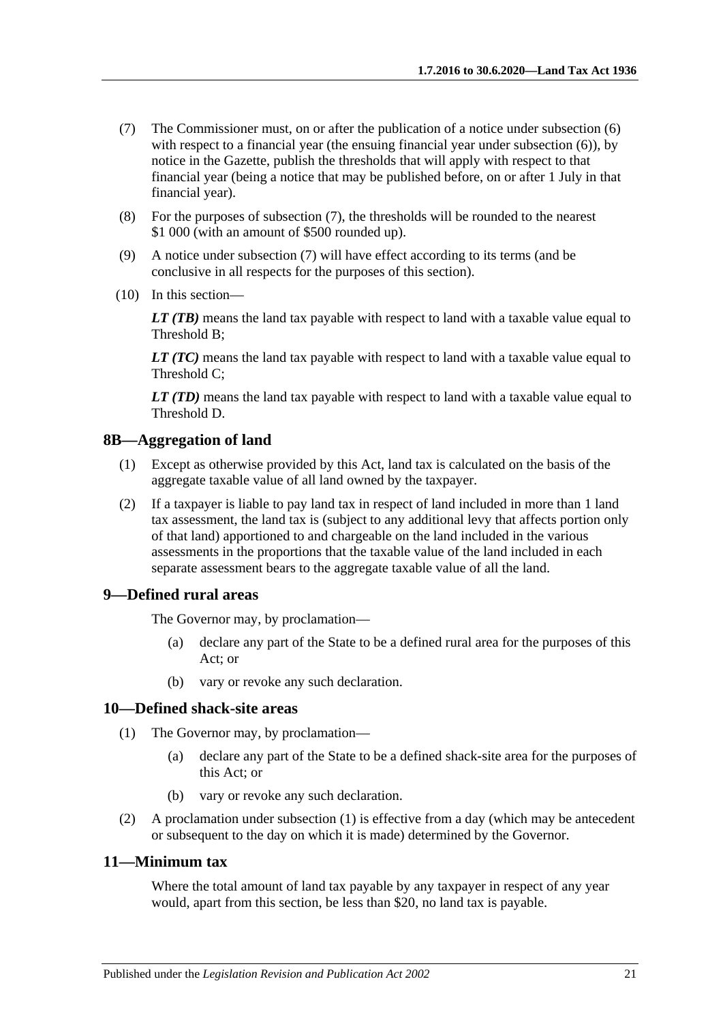- <span id="page-20-4"></span>(7) The Commissioner must, on or after the publication of a notice under [subsection](#page-19-4) (6) with respect to a financial year (the ensuing financial year under [subsection](#page-19-4)  $(6)$ ), by notice in the Gazette, publish the thresholds that will apply with respect to that financial year (being a notice that may be published before, on or after 1 July in that financial year).
- (8) For the purposes of [subsection](#page-20-4) (7), the thresholds will be rounded to the nearest \$1,000 (with an amount of \$500 rounded up).
- (9) A notice under [subsection](#page-20-4) (7) will have effect according to its terms (and be conclusive in all respects for the purposes of this section).
- (10) In this section—

*LT* (*TB*) means the land tax payable with respect to land with a taxable value equal to Threshold B;

*LT (TC)* means the land tax payable with respect to land with a taxable value equal to Threshold C;

*LT (TD)* means the land tax payable with respect to land with a taxable value equal to Threshold D.

#### <span id="page-20-0"></span>**8B—Aggregation of land**

- (1) Except as otherwise provided by this Act, land tax is calculated on the basis of the aggregate taxable value of all land owned by the taxpayer.
- (2) If a taxpayer is liable to pay land tax in respect of land included in more than 1 land tax assessment, the land tax is (subject to any additional levy that affects portion only of that land) apportioned to and chargeable on the land included in the various assessments in the proportions that the taxable value of the land included in each separate assessment bears to the aggregate taxable value of all the land.

## <span id="page-20-1"></span>**9—Defined rural areas**

The Governor may, by proclamation—

- (a) declare any part of the State to be a defined rural area for the purposes of this Act; or
- (b) vary or revoke any such declaration.

#### <span id="page-20-5"></span><span id="page-20-2"></span>**10—Defined shack-site areas**

- (1) The Governor may, by proclamation—
	- (a) declare any part of the State to be a defined shack-site area for the purposes of this Act; or
	- (b) vary or revoke any such declaration.
- (2) A proclamation under [subsection](#page-20-5) (1) is effective from a day (which may be antecedent or subsequent to the day on which it is made) determined by the Governor.

#### <span id="page-20-3"></span>**11—Minimum tax**

Where the total amount of land tax payable by any taxpayer in respect of any year would, apart from this section, be less than \$20, no land tax is payable.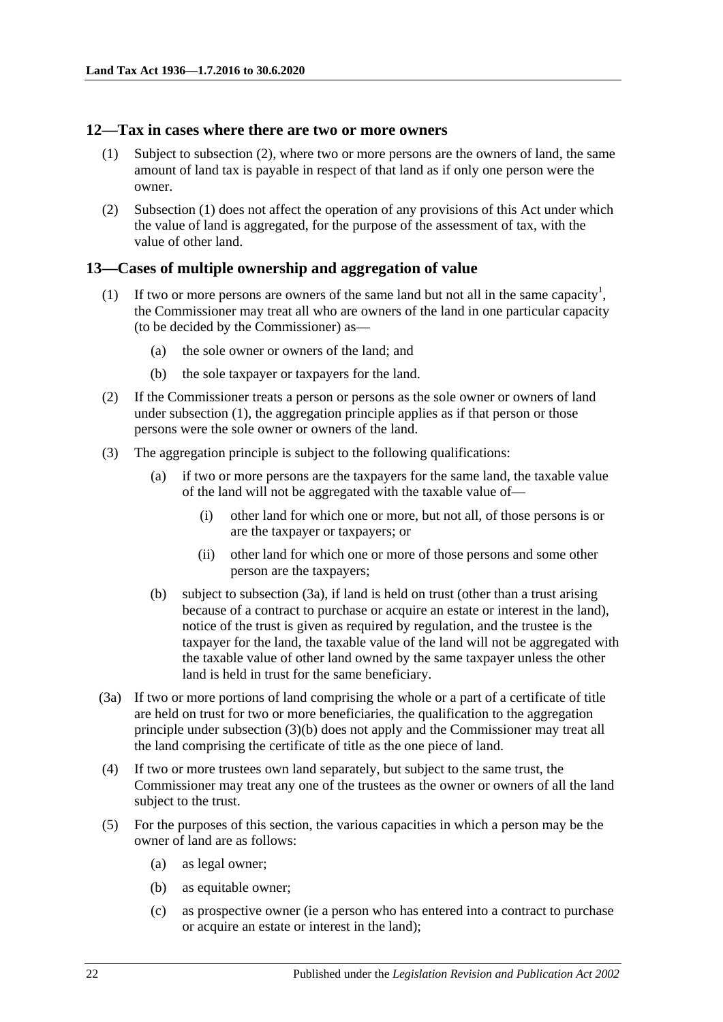#### <span id="page-21-3"></span><span id="page-21-0"></span>**12—Tax in cases where there are two or more owners**

- (1) Subject to [subsection](#page-21-2) (2), where two or more persons are the owners of land, the same amount of land tax is payable in respect of that land as if only one person were the owner.
- <span id="page-21-2"></span>(2) [Subsection](#page-21-3) (1) does not affect the operation of any provisions of this Act under which the value of land is aggregated, for the purpose of the assessment of tax, with the value of other land.

#### <span id="page-21-4"></span><span id="page-21-1"></span>**13—Cases of multiple ownership and aggregation of value**

- (1) If two or more persons are owners of the same land but not all in the same capacity<sup>1</sup>, the Commissioner may treat all who are owners of the land in one particular capacity (to be decided by the Commissioner) as—
	- (a) the sole owner or owners of the land; and
	- (b) the sole taxpayer or taxpayers for the land.
- (2) If the Commissioner treats a person or persons as the sole owner or owners of land under [subsection](#page-21-4) (1), the aggregation principle applies as if that person or those persons were the sole owner or owners of the land.
- (3) The aggregation principle is subject to the following qualifications:
	- (a) if two or more persons are the taxpayers for the same land, the taxable value of the land will not be aggregated with the taxable value of—
		- (i) other land for which one or more, but not all, of those persons is or are the taxpayer or taxpayers; or
		- (ii) other land for which one or more of those persons and some other person are the taxpayers;
	- (b) subject to [subsection](#page-21-5) (3a), if land is held on trust (other than a trust arising because of a contract to purchase or acquire an estate or interest in the land), notice of the trust is given as required by regulation, and the trustee is the taxpayer for the land, the taxable value of the land will not be aggregated with the taxable value of other land owned by the same taxpayer unless the other land is held in trust for the same beneficiary.
- <span id="page-21-6"></span><span id="page-21-5"></span>(3a) If two or more portions of land comprising the whole or a part of a certificate of title are held on trust for two or more beneficiaries, the qualification to the aggregation principle under [subsection](#page-21-6) (3)(b) does not apply and the Commissioner may treat all the land comprising the certificate of title as the one piece of land.
- (4) If two or more trustees own land separately, but subject to the same trust, the Commissioner may treat any one of the trustees as the owner or owners of all the land subject to the trust.
- <span id="page-21-7"></span>(5) For the purposes of this section, the various capacities in which a person may be the owner of land are as follows:
	- (a) as legal owner;
	- (b) as equitable owner;
	- (c) as prospective owner (ie a person who has entered into a contract to purchase or acquire an estate or interest in the land);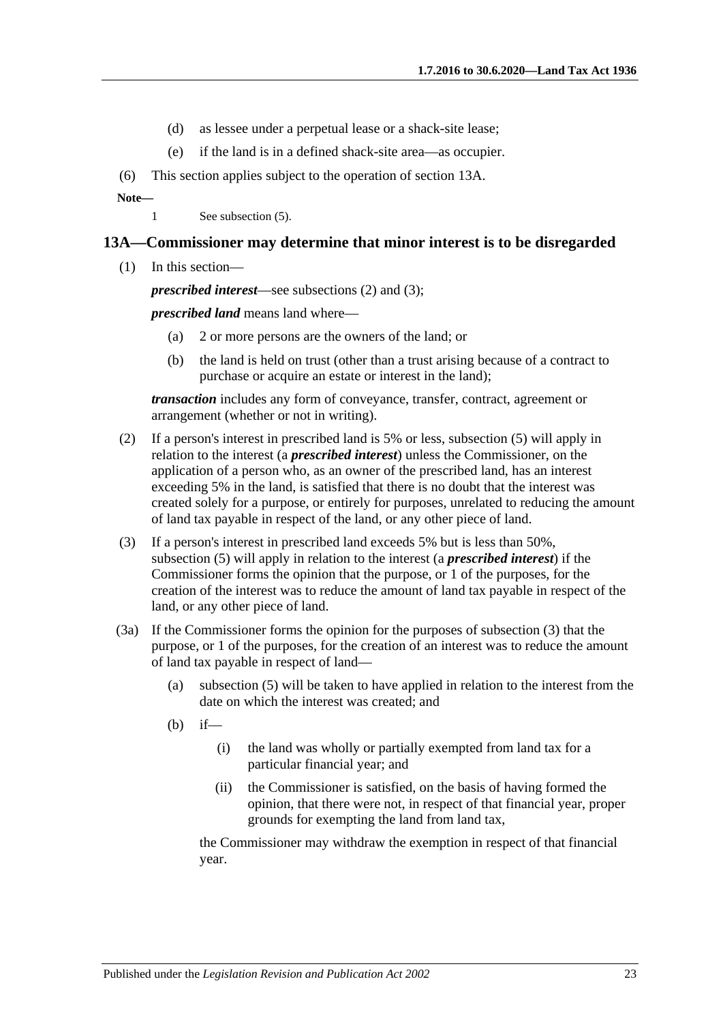- (d) as lessee under a perpetual lease or a shack-site lease;
- (e) if the land is in a defined shack-site area—as occupier.
- (6) This section applies subject to the operation of [section](#page-22-0) 13A.

**Note—**

1 See [subsection](#page-21-7) (5).

#### <span id="page-22-0"></span>**13A—Commissioner may determine that minor interest is to be disregarded**

(1) In this section—

*prescribed interest*—see [subsections](#page-22-1) (2) and [\(3\);](#page-22-2)

*prescribed land* means land where—

- (a) 2 or more persons are the owners of the land; or
- (b) the land is held on trust (other than a trust arising because of a contract to purchase or acquire an estate or interest in the land);

*transaction* includes any form of conveyance, transfer, contract, agreement or arrangement (whether or not in writing).

- <span id="page-22-1"></span>(2) If a person's interest in prescribed land is 5% or less, [subsection](#page-23-0) (5) will apply in relation to the interest (a *prescribed interest*) unless the Commissioner, on the application of a person who, as an owner of the prescribed land, has an interest exceeding 5% in the land, is satisfied that there is no doubt that the interest was created solely for a purpose, or entirely for purposes, unrelated to reducing the amount of land tax payable in respect of the land, or any other piece of land.
- <span id="page-22-2"></span>(3) If a person's interest in prescribed land exceeds 5% but is less than 50%, [subsection](#page-23-0) (5) will apply in relation to the interest (a *prescribed interest*) if the Commissioner forms the opinion that the purpose, or 1 of the purposes, for the creation of the interest was to reduce the amount of land tax payable in respect of the land, or any other piece of land.
- (3a) If the Commissioner forms the opinion for the purposes of [subsection](#page-22-2) (3) that the purpose, or 1 of the purposes, for the creation of an interest was to reduce the amount of land tax payable in respect of land—
	- (a) [subsection](#page-23-0) (5) will be taken to have applied in relation to the interest from the date on which the interest was created; and
	- (b) if—
		- (i) the land was wholly or partially exempted from land tax for a particular financial year; and
		- (ii) the Commissioner is satisfied, on the basis of having formed the opinion, that there were not, in respect of that financial year, proper grounds for exempting the land from land tax,

the Commissioner may withdraw the exemption in respect of that financial year.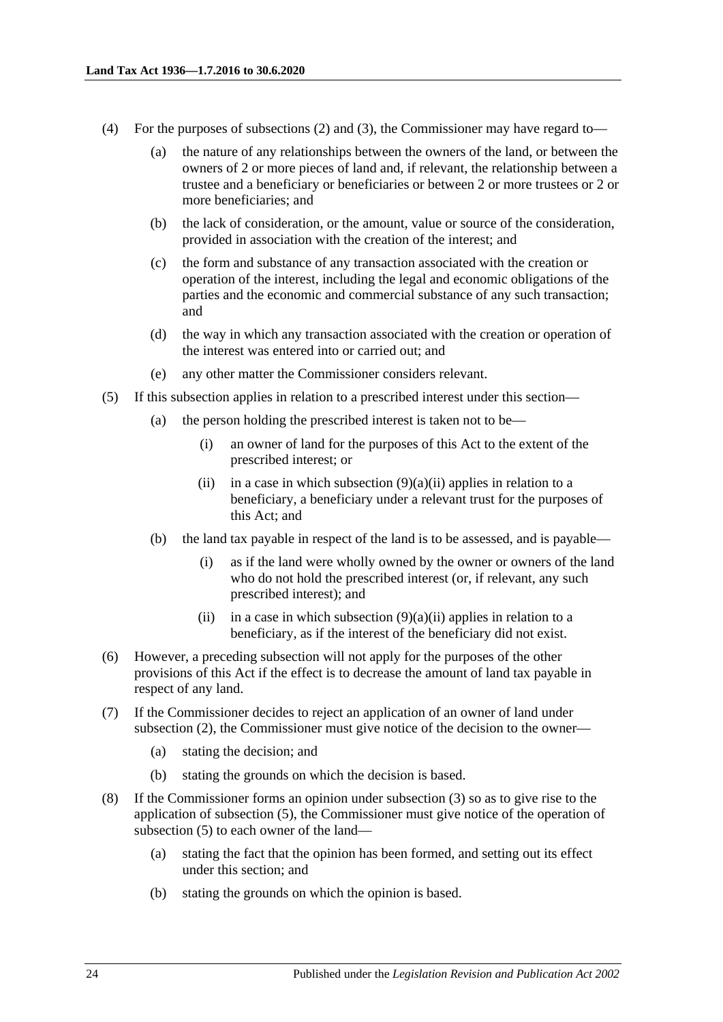- (4) For the purposes of [subsections](#page-22-1) (2) and [\(3\),](#page-22-2) the Commissioner may have regard to—
	- (a) the nature of any relationships between the owners of the land, or between the owners of 2 or more pieces of land and, if relevant, the relationship between a trustee and a beneficiary or beneficiaries or between 2 or more trustees or 2 or more beneficiaries; and
	- (b) the lack of consideration, or the amount, value or source of the consideration, provided in association with the creation of the interest; and
	- (c) the form and substance of any transaction associated with the creation or operation of the interest, including the legal and economic obligations of the parties and the economic and commercial substance of any such transaction; and
	- (d) the way in which any transaction associated with the creation or operation of the interest was entered into or carried out; and
	- (e) any other matter the Commissioner considers relevant.
- <span id="page-23-0"></span>(5) If this subsection applies in relation to a prescribed interest under this section—
	- (a) the person holding the prescribed interest is taken not to be—
		- (i) an owner of land for the purposes of this Act to the extent of the prescribed interest; or
		- (ii) in a case in which [subsection](#page-24-4)  $(9)(a)(ii)$  applies in relation to a beneficiary, a beneficiary under a relevant trust for the purposes of this Act; and
	- (b) the land tax payable in respect of the land is to be assessed, and is payable—
		- (i) as if the land were wholly owned by the owner or owners of the land who do not hold the prescribed interest (or, if relevant, any such prescribed interest); and
		- (ii) in a case in which [subsection](#page-24-4)  $(9)(a)(ii)$  applies in relation to a beneficiary, as if the interest of the beneficiary did not exist.
- (6) However, a preceding subsection will not apply for the purposes of the other provisions of this Act if the effect is to decrease the amount of land tax payable in respect of any land.
- (7) If the Commissioner decides to reject an application of an owner of land under [subsection](#page-22-1) (2), the Commissioner must give notice of the decision to the owner—
	- (a) stating the decision; and
	- (b) stating the grounds on which the decision is based.
- (8) If the Commissioner forms an opinion under [subsection](#page-22-2) (3) so as to give rise to the application of [subsection](#page-23-0) (5), the Commissioner must give notice of the operation of [subsection](#page-23-0) (5) to each owner of the land—
	- (a) stating the fact that the opinion has been formed, and setting out its effect under this section; and
	- (b) stating the grounds on which the opinion is based.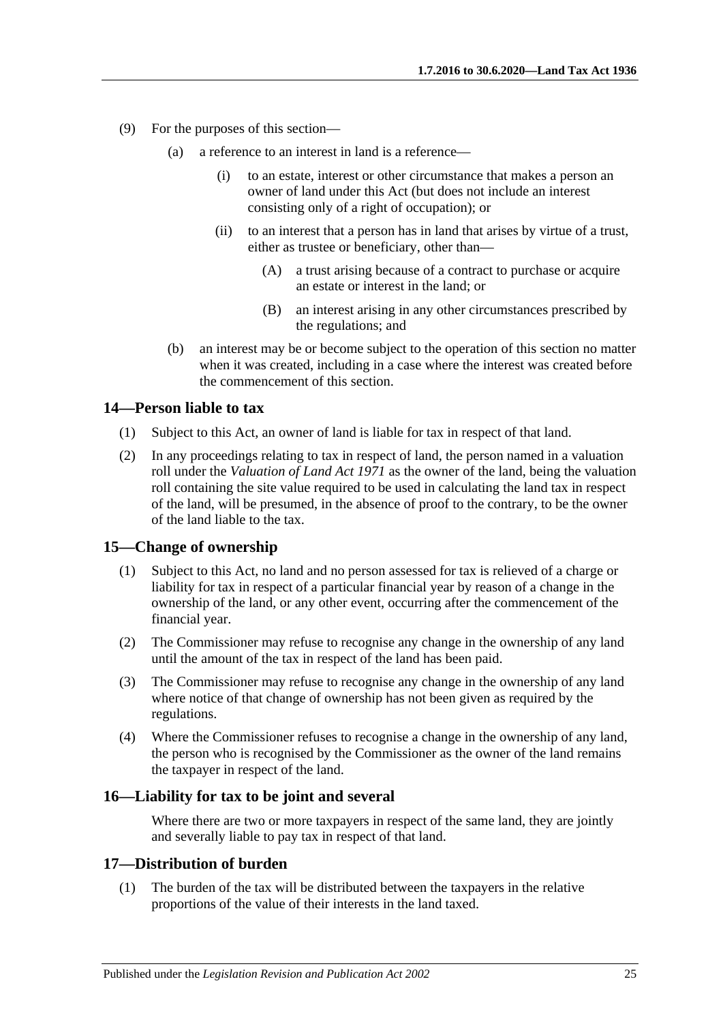- <span id="page-24-4"></span>(9) For the purposes of this section—
	- (a) a reference to an interest in land is a reference—
		- (i) to an estate, interest or other circumstance that makes a person an owner of land under this Act (but does not include an interest consisting only of a right of occupation); or
		- (ii) to an interest that a person has in land that arises by virtue of a trust, either as trustee or beneficiary, other than—
			- (A) a trust arising because of a contract to purchase or acquire an estate or interest in the land; or
			- (B) an interest arising in any other circumstances prescribed by the regulations; and
	- (b) an interest may be or become subject to the operation of this section no matter when it was created, including in a case where the interest was created before the commencement of this section.

#### <span id="page-24-0"></span>**14—Person liable to tax**

- (1) Subject to this Act, an owner of land is liable for tax in respect of that land.
- (2) In any proceedings relating to tax in respect of land, the person named in a valuation roll under the *[Valuation of Land Act](http://www.legislation.sa.gov.au/index.aspx?action=legref&type=act&legtitle=Valuation%20of%20Land%20Act%201971) 1971* as the owner of the land, being the valuation roll containing the site value required to be used in calculating the land tax in respect of the land, will be presumed, in the absence of proof to the contrary, to be the owner of the land liable to the tax.

#### <span id="page-24-1"></span>**15—Change of ownership**

- (1) Subject to this Act, no land and no person assessed for tax is relieved of a charge or liability for tax in respect of a particular financial year by reason of a change in the ownership of the land, or any other event, occurring after the commencement of the financial year.
- (2) The Commissioner may refuse to recognise any change in the ownership of any land until the amount of the tax in respect of the land has been paid.
- (3) The Commissioner may refuse to recognise any change in the ownership of any land where notice of that change of ownership has not been given as required by the regulations.
- (4) Where the Commissioner refuses to recognise a change in the ownership of any land, the person who is recognised by the Commissioner as the owner of the land remains the taxpayer in respect of the land.

#### <span id="page-24-2"></span>**16—Liability for tax to be joint and several**

Where there are two or more taxpayers in respect of the same land, they are jointly and severally liable to pay tax in respect of that land.

#### <span id="page-24-3"></span>**17—Distribution of burden**

(1) The burden of the tax will be distributed between the taxpayers in the relative proportions of the value of their interests in the land taxed.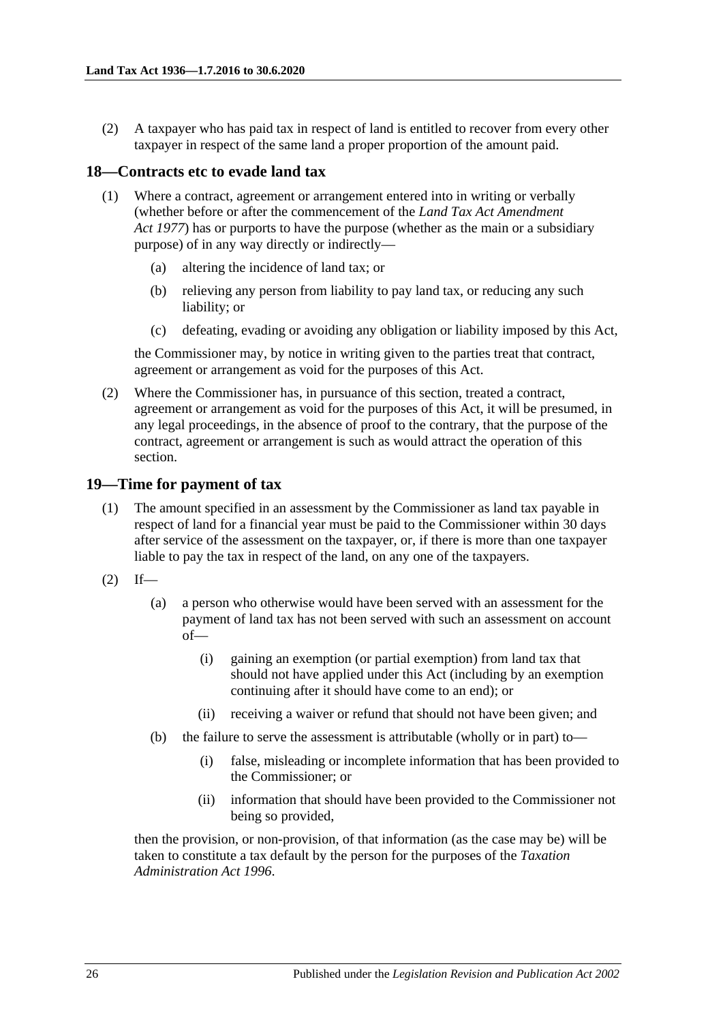(2) A taxpayer who has paid tax in respect of land is entitled to recover from every other taxpayer in respect of the same land a proper proportion of the amount paid.

#### <span id="page-25-0"></span>**18—Contracts etc to evade land tax**

- (1) Where a contract, agreement or arrangement entered into in writing or verbally (whether before or after the commencement of the *Land Tax Act Amendment Act 1977*) has or purports to have the purpose (whether as the main or a subsidiary purpose) of in any way directly or indirectly—
	- (a) altering the incidence of land tax; or
	- (b) relieving any person from liability to pay land tax, or reducing any such liability; or
	- (c) defeating, evading or avoiding any obligation or liability imposed by this Act,

the Commissioner may, by notice in writing given to the parties treat that contract, agreement or arrangement as void for the purposes of this Act.

(2) Where the Commissioner has, in pursuance of this section, treated a contract, agreement or arrangement as void for the purposes of this Act, it will be presumed, in any legal proceedings, in the absence of proof to the contrary, that the purpose of the contract, agreement or arrangement is such as would attract the operation of this section.

#### <span id="page-25-2"></span><span id="page-25-1"></span>**19—Time for payment of tax**

- (1) The amount specified in an assessment by the Commissioner as land tax payable in respect of land for a financial year must be paid to the Commissioner within 30 days after service of the assessment on the taxpayer, or, if there is more than one taxpayer liable to pay the tax in respect of the land, on any one of the taxpayers.
- $(2)$  If—
	- (a) a person who otherwise would have been served with an assessment for the payment of land tax has not been served with such an assessment on account  $of$ 
		- (i) gaining an exemption (or partial exemption) from land tax that should not have applied under this Act (including by an exemption continuing after it should have come to an end); or
		- (ii) receiving a waiver or refund that should not have been given; and
	- (b) the failure to serve the assessment is attributable (wholly or in part) to—
		- (i) false, misleading or incomplete information that has been provided to the Commissioner; or
		- (ii) information that should have been provided to the Commissioner not being so provided,

then the provision, or non-provision, of that information (as the case may be) will be taken to constitute a tax default by the person for the purposes of the *[Taxation](http://www.legislation.sa.gov.au/index.aspx?action=legref&type=act&legtitle=Taxation%20Administration%20Act%201996)  [Administration Act](http://www.legislation.sa.gov.au/index.aspx?action=legref&type=act&legtitle=Taxation%20Administration%20Act%201996) 1996*.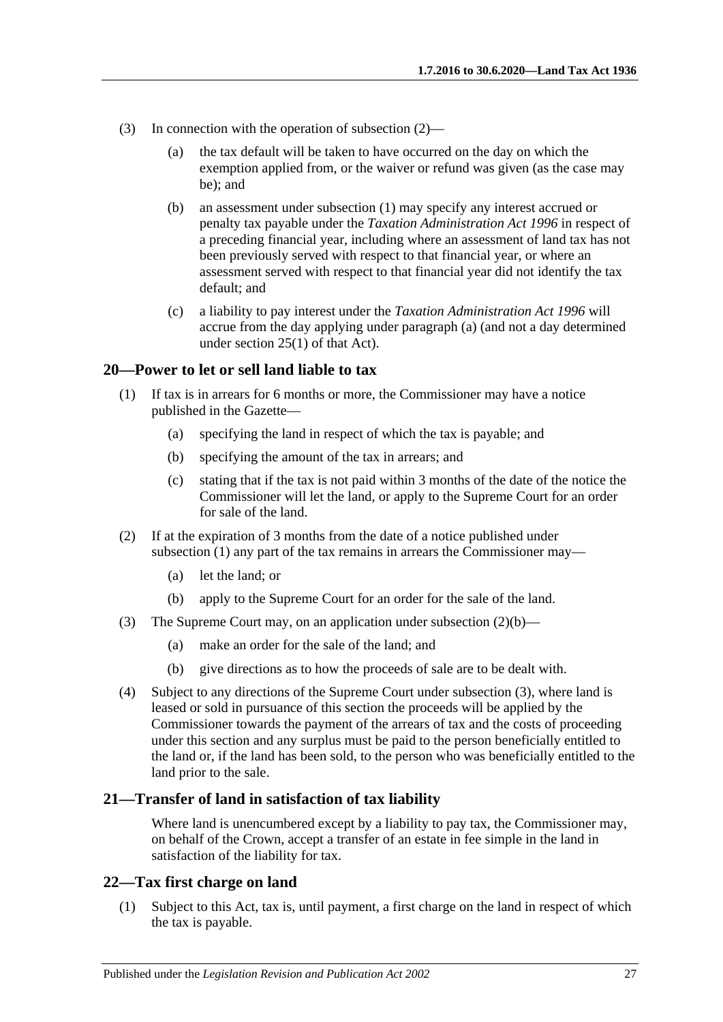- <span id="page-26-3"></span>(3) In connection with the operation of subsection (2)—
	- (a) the tax default will be taken to have occurred on the day on which the exemption applied from, or the waiver or refund was given (as the case may be); and
	- (b) an assessment under [subsection](#page-25-2) (1) may specify any interest accrued or penalty tax payable under the *[Taxation Administration Act](http://www.legislation.sa.gov.au/index.aspx?action=legref&type=act&legtitle=Taxation%20Administration%20Act%201996) 1996* in respect of a preceding financial year, including where an assessment of land tax has not been previously served with respect to that financial year, or where an assessment served with respect to that financial year did not identify the tax default; and
	- (c) a liability to pay interest under the *[Taxation Administration Act](http://www.legislation.sa.gov.au/index.aspx?action=legref&type=act&legtitle=Taxation%20Administration%20Act%201996) 1996* will accrue from the day applying under [paragraph](#page-26-3) (a) (and not a day determined under section 25(1) of that Act).

#### <span id="page-26-4"></span><span id="page-26-0"></span>**20—Power to let or sell land liable to tax**

- (1) If tax is in arrears for 6 months or more, the Commissioner may have a notice published in the Gazette—
	- (a) specifying the land in respect of which the tax is payable; and
	- (b) specifying the amount of the tax in arrears; and
	- (c) stating that if the tax is not paid within 3 months of the date of the notice the Commissioner will let the land, or apply to the Supreme Court for an order for sale of the land.
- (2) If at the expiration of 3 months from the date of a notice published under [subsection](#page-26-4) (1) any part of the tax remains in arrears the Commissioner may—
	- (a) let the land; or
	- (b) apply to the Supreme Court for an order for the sale of the land.
- <span id="page-26-6"></span><span id="page-26-5"></span>(3) The Supreme Court may, on an application under [subsection](#page-26-5)  $(2)(b)$ —
	- (a) make an order for the sale of the land; and
	- (b) give directions as to how the proceeds of sale are to be dealt with.
- (4) Subject to any directions of the Supreme Court under [subsection](#page-26-6) (3), where land is leased or sold in pursuance of this section the proceeds will be applied by the Commissioner towards the payment of the arrears of tax and the costs of proceeding under this section and any surplus must be paid to the person beneficially entitled to the land or, if the land has been sold, to the person who was beneficially entitled to the land prior to the sale.

#### <span id="page-26-1"></span>**21—Transfer of land in satisfaction of tax liability**

Where land is unencumbered except by a liability to pay tax, the Commissioner may, on behalf of the Crown, accept a transfer of an estate in fee simple in the land in satisfaction of the liability for tax.

#### <span id="page-26-2"></span>**22—Tax first charge on land**

(1) Subject to this Act, tax is, until payment, a first charge on the land in respect of which the tax is payable.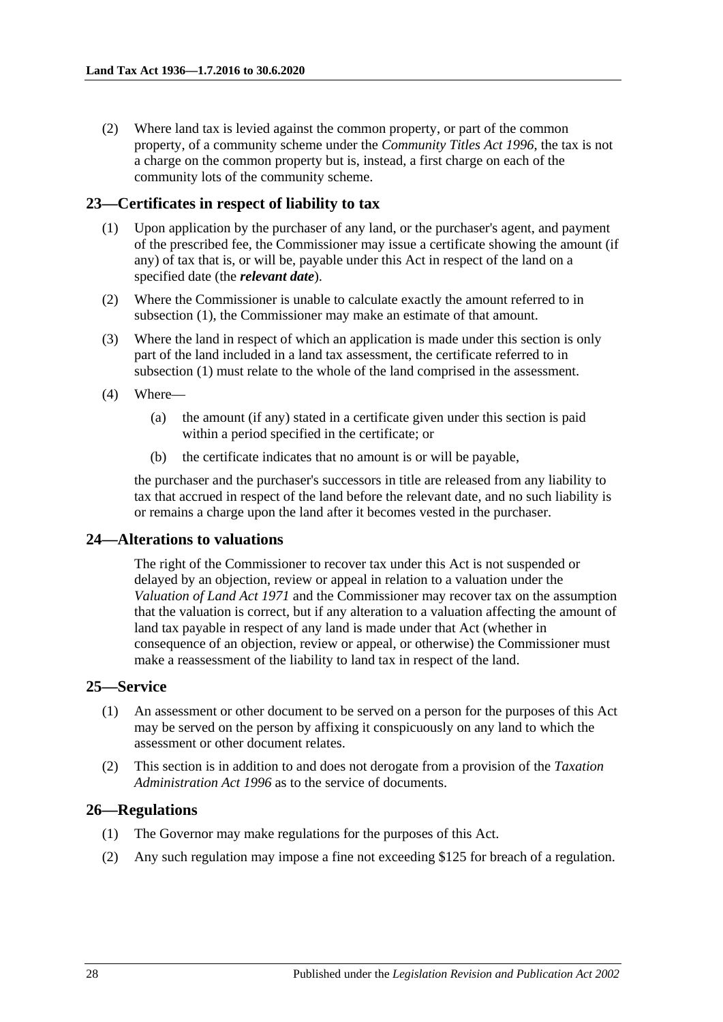(2) Where land tax is levied against the common property, or part of the common property, of a community scheme under the *[Community Titles Act](http://www.legislation.sa.gov.au/index.aspx?action=legref&type=act&legtitle=Community%20Titles%20Act%201996) 1996*, the tax is not a charge on the common property but is, instead, a first charge on each of the community lots of the community scheme.

#### <span id="page-27-4"></span><span id="page-27-0"></span>**23—Certificates in respect of liability to tax**

- (1) Upon application by the purchaser of any land, or the purchaser's agent, and payment of the prescribed fee, the Commissioner may issue a certificate showing the amount (if any) of tax that is, or will be, payable under this Act in respect of the land on a specified date (the *relevant date*).
- (2) Where the Commissioner is unable to calculate exactly the amount referred to in [subsection](#page-27-4) (1), the Commissioner may make an estimate of that amount.
- (3) Where the land in respect of which an application is made under this section is only part of the land included in a land tax assessment, the certificate referred to in [subsection](#page-27-4) (1) must relate to the whole of the land comprised in the assessment.
- (4) Where—
	- (a) the amount (if any) stated in a certificate given under this section is paid within a period specified in the certificate; or
	- (b) the certificate indicates that no amount is or will be payable,

the purchaser and the purchaser's successors in title are released from any liability to tax that accrued in respect of the land before the relevant date, and no such liability is or remains a charge upon the land after it becomes vested in the purchaser.

#### <span id="page-27-1"></span>**24—Alterations to valuations**

The right of the Commissioner to recover tax under this Act is not suspended or delayed by an objection, review or appeal in relation to a valuation under the *[Valuation of Land Act](http://www.legislation.sa.gov.au/index.aspx?action=legref&type=act&legtitle=Valuation%20of%20Land%20Act%201971) 1971* and the Commissioner may recover tax on the assumption that the valuation is correct, but if any alteration to a valuation affecting the amount of land tax payable in respect of any land is made under that Act (whether in consequence of an objection, review or appeal, or otherwise) the Commissioner must make a reassessment of the liability to land tax in respect of the land.

### <span id="page-27-2"></span>**25—Service**

- (1) An assessment or other document to be served on a person for the purposes of this Act may be served on the person by affixing it conspicuously on any land to which the assessment or other document relates.
- (2) This section is in addition to and does not derogate from a provision of the *[Taxation](http://www.legislation.sa.gov.au/index.aspx?action=legref&type=act&legtitle=Taxation%20Administration%20Act%201996)  [Administration Act](http://www.legislation.sa.gov.au/index.aspx?action=legref&type=act&legtitle=Taxation%20Administration%20Act%201996) 1996* as to the service of documents.

#### <span id="page-27-3"></span>**26—Regulations**

- (1) The Governor may make regulations for the purposes of this Act.
- (2) Any such regulation may impose a fine not exceeding \$125 for breach of a regulation.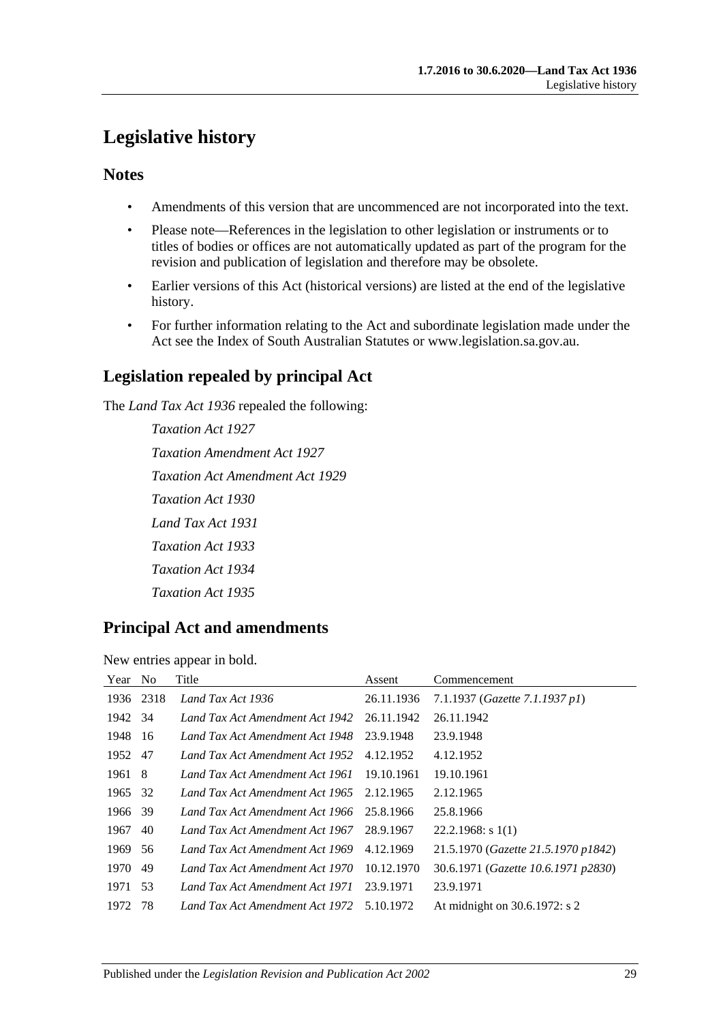# <span id="page-28-0"></span>**Legislative history**

# **Notes**

- Amendments of this version that are uncommenced are not incorporated into the text.
- Please note—References in the legislation to other legislation or instruments or to titles of bodies or offices are not automatically updated as part of the program for the revision and publication of legislation and therefore may be obsolete.
- Earlier versions of this Act (historical versions) are listed at the end of the legislative history.
- For further information relating to the Act and subordinate legislation made under the Act see the Index of South Australian Statutes or www.legislation.sa.gov.au.

# **Legislation repealed by principal Act**

The *Land Tax Act 1936* repealed the following:

*Taxation Act 1927 Taxation Amendment Act 1927 Taxation Act Amendment Act 1929 Taxation Act 1930 Land Tax Act 1931 Taxation Act 1933 Taxation Act 1934 Taxation Act 1935*

# **Principal Act and amendments**

New entries appear in bold.

| Year    | N <sub>0</sub> | Title                           | Assent     | Commencement                        |
|---------|----------------|---------------------------------|------------|-------------------------------------|
| 1936    | 2318           | Land Tax Act 1936               | 26.11.1936 | 7.1.1937 (Gazette 7.1.1937 p1)      |
| 1942 34 |                | Land Tax Act Amendment Act 1942 | 26.11.1942 | 26.11.1942                          |
| 1948    | -16            | Land Tax Act Amendment Act 1948 | 23.9.1948  | 23.9.1948                           |
| 1952    | -47            | Land Tax Act Amendment Act 1952 | 4.12.1952  | 4.12.1952                           |
| 1961    | - 8            | Land Tax Act Amendment Act 1961 | 19.10.1961 | 19.10.1961                          |
| 1965    | 32             | Land Tax Act Amendment Act 1965 | 2.12.1965  | 2.12.1965                           |
| 1966    | 39             | Land Tax Act Amendment Act 1966 | 25.8.1966  | 25.8.1966                           |
| 1967    | 40             | Land Tax Act Amendment Act 1967 | 28.9.1967  | $22.2.1968$ : s 1(1)                |
| 1969    | 56             | Land Tax Act Amendment Act 1969 | 4.12.1969  | 21.5.1970 (Gazette 21.5.1970 p1842) |
| 1970    | 49             | Land Tax Act Amendment Act 1970 | 10.12.1970 | 30.6.1971 (Gazette 10.6.1971 p2830) |
| 1971    | 53             | Land Tax Act Amendment Act 1971 | 23.9.1971  | 23.9.1971                           |
| 1972    | -78            | Land Tax Act Amendment Act 1972 | 5.10.1972  | At midnight on 30.6.1972: s 2       |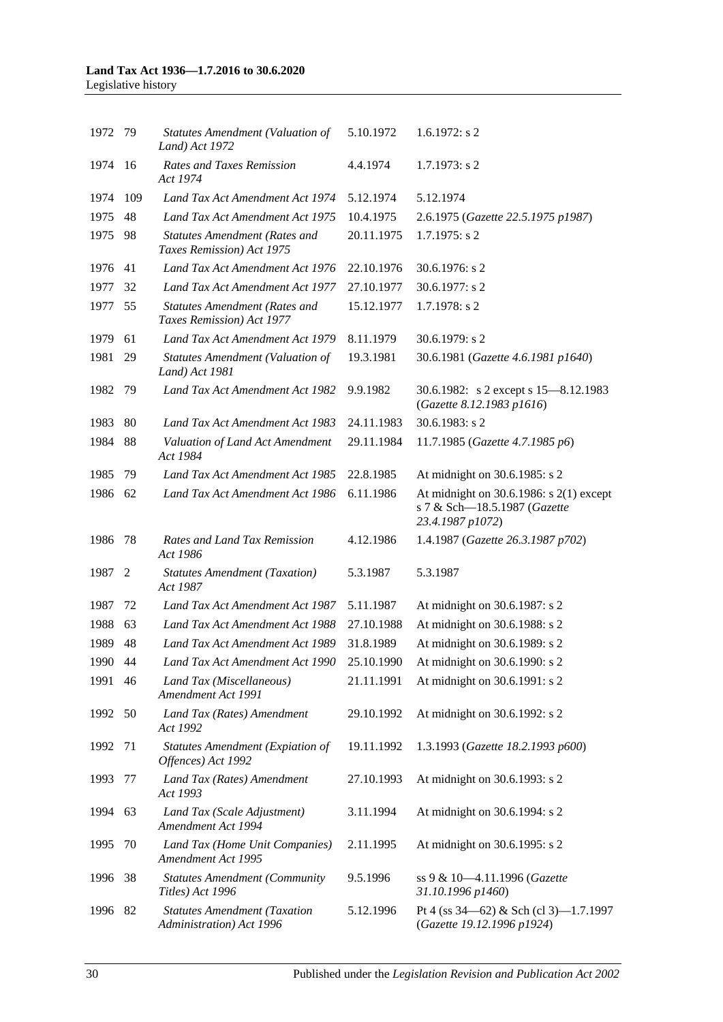| 1972 | - 79 | <b>Statutes Amendment (Valuation of</b><br>Land) Act 1972         | 5.10.1972  | $1.6.1972$ : s 2                                                                                 |
|------|------|-------------------------------------------------------------------|------------|--------------------------------------------------------------------------------------------------|
| 1974 | 16   | <b>Rates and Taxes Remission</b><br>Act 1974                      | 4.4.1974   | $1.7.1973$ : s 2                                                                                 |
| 1974 | 109  | Land Tax Act Amendment Act 1974                                   | 5.12.1974  | 5.12.1974                                                                                        |
| 1975 | 48   | Land Tax Act Amendment Act 1975                                   | 10.4.1975  | 2.6.1975 (Gazette 22.5.1975 p1987)                                                               |
| 1975 | 98   | <b>Statutes Amendment (Rates and</b><br>Taxes Remission) Act 1975 | 20.11.1975 | $1.7.1975$ : s 2                                                                                 |
| 1976 | 41   | Land Tax Act Amendment Act 1976                                   | 22.10.1976 | $30.6.1976$ : s 2                                                                                |
| 1977 | 32   | Land Tax Act Amendment Act 1977                                   | 27.10.1977 | $30.6.1977$ : s 2                                                                                |
| 1977 | 55   | <b>Statutes Amendment (Rates and</b><br>Taxes Remission) Act 1977 | 15.12.1977 | $1.7.1978$ : s 2                                                                                 |
| 1979 | 61   | Land Tax Act Amendment Act 1979                                   | 8.11.1979  | 30.6.1979: s 2                                                                                   |
| 1981 | 29   | <b>Statutes Amendment (Valuation of</b><br>Land) Act 1981         | 19.3.1981  | 30.6.1981 (Gazette 4.6.1981 p1640)                                                               |
| 1982 | 79   | Land Tax Act Amendment Act 1982                                   | 9.9.1982   | 30.6.1982: s 2 except s 15-8.12.1983<br>(Gazette 8.12.1983 p1616)                                |
| 1983 | 80   | Land Tax Act Amendment Act 1983                                   | 24.11.1983 | $30.6.1983$ : s 2                                                                                |
| 1984 | 88   | Valuation of Land Act Amendment<br>Act 1984                       | 29.11.1984 | 11.7.1985 (Gazette 4.7.1985 p6)                                                                  |
| 1985 | 79   | Land Tax Act Amendment Act 1985                                   | 22.8.1985  | At midnight on 30.6.1985: s 2                                                                    |
| 1986 | 62   | Land Tax Act Amendment Act 1986                                   | 6.11.1986  | At midnight on $30.6.1986$ : s $2(1)$ except<br>s 7 & Sch-18.5.1987 (Gazette<br>23.4.1987 p1072) |
| 1986 | 78   | Rates and Land Tax Remission<br>Act 1986                          | 4.12.1986  | 1.4.1987 (Gazette 26.3.1987 p702)                                                                |
| 1987 | 2    | <b>Statutes Amendment (Taxation)</b><br>Act 1987                  | 5.3.1987   | 5.3.1987                                                                                         |
| 1987 | 72   | Land Tax Act Amendment Act 1987                                   | 5.11.1987  | At midnight on 30.6.1987: s 2                                                                    |
| 1988 | 63   | Land Tax Act Amendment Act 1988                                   | 27.10.1988 | At midnight on 30.6.1988: s 2                                                                    |
| 1989 | 48   | Land Tax Act Amendment Act 1989                                   | 31.8.1989  | At midnight on 30.6.1989: s 2                                                                    |
| 1990 | 44   | Land Tax Act Amendment Act 1990                                   | 25.10.1990 | At midnight on 30.6.1990: s 2                                                                    |
| 1991 | 46   | Land Tax (Miscellaneous)<br>Amendment Act 1991                    | 21.11.1991 | At midnight on 30.6.1991: s 2                                                                    |
| 1992 | 50   | Land Tax (Rates) Amendment<br>Act 1992                            | 29.10.1992 | At midnight on 30.6.1992: s 2                                                                    |
| 1992 | 71   | <b>Statutes Amendment (Expiation of</b><br>Offences) Act 1992     | 19.11.1992 | 1.3.1993 (Gazette 18.2.1993 p600)                                                                |
| 1993 | 77   | Land Tax (Rates) Amendment<br>Act 1993                            | 27.10.1993 | At midnight on 30.6.1993: s 2                                                                    |
| 1994 | 63   | Land Tax (Scale Adjustment)<br>Amendment Act 1994                 | 3.11.1994  | At midnight on 30.6.1994: s 2                                                                    |
|      |      |                                                                   |            |                                                                                                  |
| 1995 | 70   | Land Tax (Home Unit Companies)<br>Amendment Act 1995              | 2.11.1995  | At midnight on 30.6.1995: s 2                                                                    |
| 1996 | 38   | <b>Statutes Amendment (Community</b><br>Titles) Act 1996          | 9.5.1996   | ss 9 & 10-4.11.1996 (Gazette<br>31.10.1996 p1460)                                                |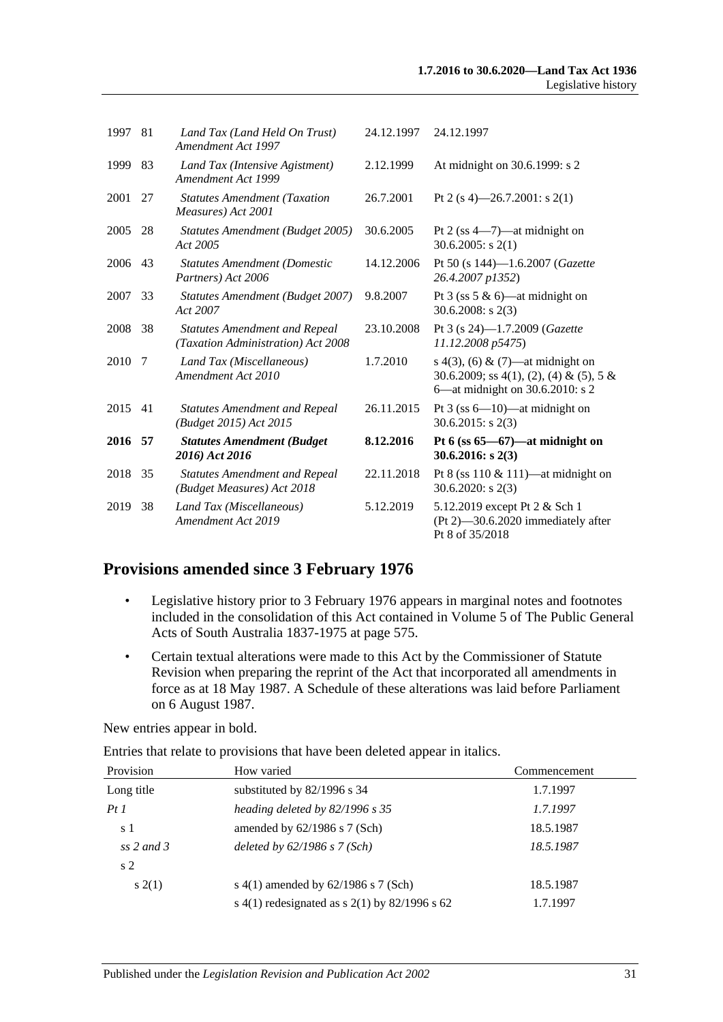| 1997 | 81 | Land Tax (Land Held On Trust)<br>Amendment Act 1997                        | 24.12.1997 | 24.12.1997                                                                                                     |
|------|----|----------------------------------------------------------------------------|------------|----------------------------------------------------------------------------------------------------------------|
| 1999 | 83 | Land Tax (Intensive Agistment)<br>Amendment Act 1999                       | 2.12.1999  | At midnight on 30.6.1999: s 2                                                                                  |
| 2001 | 27 | <b>Statutes Amendment (Taxation</b><br>Measures) Act 2001                  | 26.7.2001  | Pt 2 (s 4)—26.7.2001: s 2(1)                                                                                   |
| 2005 | 28 | Statutes Amendment (Budget 2005)<br>Act 2005                               | 30.6.2005  | Pt 2 (ss $4-7$ )—at midnight on<br>$30.6.2005$ : s 2(1)                                                        |
| 2006 | 43 | <b>Statutes Amendment (Domestic</b><br>Partners) Act 2006                  | 14.12.2006 | Pt 50 (s 144)-1.6.2007 (Gazette<br>26.4.2007 p1352)                                                            |
| 2007 | 33 | Statutes Amendment (Budget 2007)<br>Act 2007                               | 9.8.2007   | Pt 3 (ss 5 $\&$ 6)—at midnight on<br>$30.6.2008$ : s $2(3)$                                                    |
| 2008 | 38 | <b>Statutes Amendment and Repeal</b><br>(Taxation Administration) Act 2008 | 23.10.2008 | Pt 3 (s 24)-1.7.2009 (Gazette<br>11.12.2008 p5475)                                                             |
| 2010 | 7  | Land Tax (Miscellaneous)<br>Amendment Act 2010                             | 1.7.2010   | s 4(3), (6) & (7)—at midnight on<br>30.6.2009; ss 4(1), (2), (4) & (5), 5 &<br>6-at midnight on 30.6.2010: s 2 |
| 2015 | 41 | <b>Statutes Amendment and Repeal</b><br>(Budget 2015) Act 2015             | 26.11.2015 | Pt $3$ (ss $6-10$ )—at midnight on<br>$30.6.2015$ : s 2(3)                                                     |
| 2016 | 57 | <b>Statutes Amendment (Budget</b><br>2016) Act 2016                        | 8.12.2016  | Pt $6$ (ss $65-67$ )—at midnight on<br>30.6.2016: s $2(3)$                                                     |
| 2018 | 35 | <b>Statutes Amendment and Repeal</b><br>(Budget Measures) Act 2018         | 22.11.2018 | Pt 8 (ss $110 \& 111$ )—at midnight on<br>$30.6.2020$ : s $2(3)$                                               |
| 2019 | 38 | Land Tax (Miscellaneous)<br>Amendment Act 2019                             | 5.12.2019  | 5.12.2019 except Pt 2 & Sch 1<br>$(Pt 2)$ —30.6.2020 immediately after<br>Pt 8 of 35/2018                      |

# **Provisions amended since 3 February 1976**

- Legislative history prior to 3 February 1976 appears in marginal notes and footnotes included in the consolidation of this Act contained in Volume 5 of The Public General Acts of South Australia 1837-1975 at page 575.
- Certain textual alterations were made to this Act by the Commissioner of Statute Revision when preparing the reprint of the Act that incorporated all amendments in force as at 18 May 1987. A Schedule of these alterations was laid before Parliament on 6 August 1987.

New entries appear in bold.

Entries that relate to provisions that have been deleted appear in italics.

| Provision      | How varied                                    | Commencement |
|----------------|-----------------------------------------------|--------------|
| Long title     | substituted by 82/1996 s 34                   | 1.7.1997     |
| PtI            | heading deleted by 82/1996 s 35               | 1.7.1997     |
| s 1            | amended by $62/1986$ s 7 (Sch)                | 18.5.1987    |
| ss 2 and 3     | deleted by $62/1986$ s $7(Sch)$               | 18.5.1987    |
| s <sub>2</sub> |                                               |              |
| s(2(1))        | s 4(1) amended by $62/1986$ s 7 (Sch)         | 18.5.1987    |
|                | s 4(1) redesignated as s 2(1) by 82/1996 s 62 | 1.7.1997     |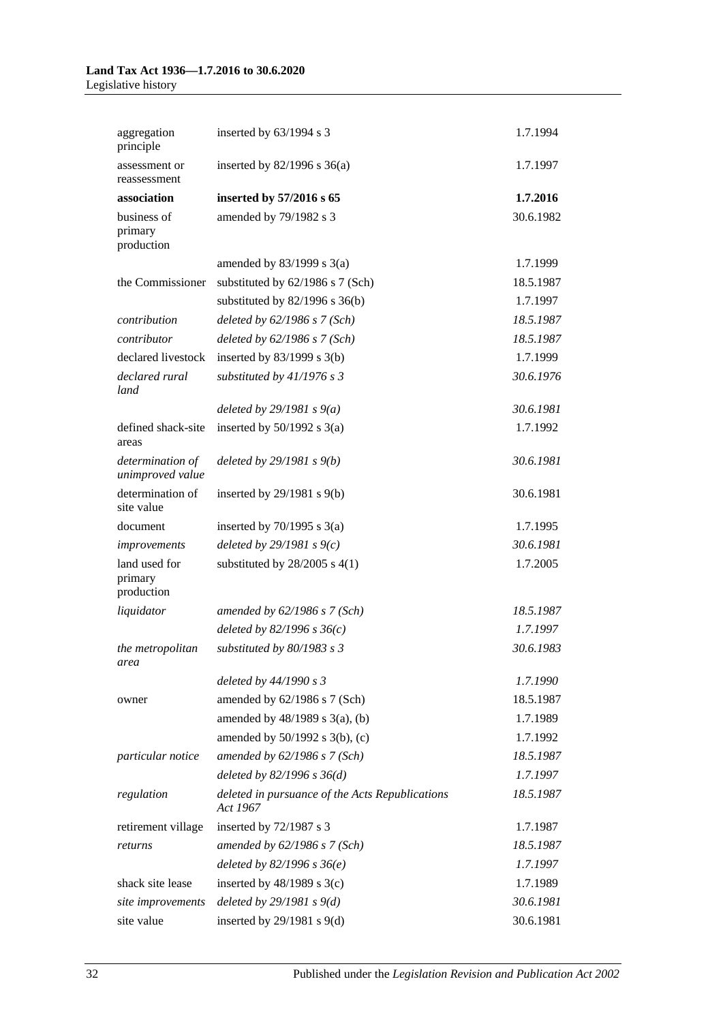#### **Land Tax Act 1936—1.7.2016 to 30.6.2020** Legislative history

| aggregation<br>principle               | inserted by 63/1994 s 3                                     | 1.7.1994  |
|----------------------------------------|-------------------------------------------------------------|-----------|
| assessment or<br>reassessment          | inserted by $82/1996$ s $36(a)$                             | 1.7.1997  |
| association                            | inserted by 57/2016 s 65                                    | 1.7.2016  |
| business of<br>primary<br>production   | amended by 79/1982 s 3                                      | 30.6.1982 |
|                                        | amended by $83/1999$ s $3(a)$                               | 1.7.1999  |
| the Commissioner                       | substituted by 62/1986 s 7 (Sch)                            | 18.5.1987 |
|                                        | substituted by $82/1996$ s $36(b)$                          | 1.7.1997  |
| contribution                           | deleted by $62/1986$ s $7$ (Sch)                            | 18.5.1987 |
| contributor                            | deleted by $62/1986$ s $7$ (Sch)                            | 18.5.1987 |
| declared livestock                     | inserted by $83/1999$ s $3(b)$                              | 1.7.1999  |
| declared rural<br>land                 | substituted by 41/1976 s 3                                  | 30.6.1976 |
|                                        | deleted by $29/1981 s 9(a)$                                 | 30.6.1981 |
| defined shack-site<br>areas            | inserted by $50/1992$ s $3(a)$                              | 1.7.1992  |
| determination of<br>unimproved value   | deleted by $29/1981 s 9(b)$                                 | 30.6.1981 |
| determination of<br>site value         | inserted by $29/1981$ s $9(b)$                              | 30.6.1981 |
| document                               | inserted by $70/1995$ s $3(a)$                              | 1.7.1995  |
| improvements                           | deleted by $29/1981 s$ 9(c)                                 | 30.6.1981 |
| land used for<br>primary<br>production | substituted by $28/2005$ s 4(1)                             | 1.7.2005  |
| liquidator                             | amended by $62/1986$ s $7$ (Sch)                            | 18.5.1987 |
|                                        | deleted by $82/1996 s 36(c)$                                | 1.7.1997  |
| the metropolitan<br>area               | substituted by $80/1983$ s 3                                | 30.6.1983 |
|                                        | deleted by 44/1990 s 3                                      | 1.7.1990  |
| owner                                  | amended by 62/1986 s 7 (Sch)                                | 18.5.1987 |
|                                        | amended by $48/1989$ s $3(a)$ , (b)                         | 1.7.1989  |
|                                        | amended by 50/1992 s 3(b), (c)                              | 1.7.1992  |
| particular notice                      | amended by $62/1986$ s $7$ (Sch)                            | 18.5.1987 |
|                                        | deleted by $82/1996 s 36(d)$                                | 1.7.1997  |
| regulation                             | deleted in pursuance of the Acts Republications<br>Act 1967 | 18.5.1987 |
| retirement village                     | inserted by 72/1987 s 3                                     | 1.7.1987  |
| returns                                | amended by $62/1986$ s $7$ (Sch)                            | 18.5.1987 |
|                                        | deleted by $82/1996 s 36(e)$                                | 1.7.1997  |
| shack site lease                       | inserted by $48/1989$ s $3(c)$                              | 1.7.1989  |
| site improvements                      | deleted by $29/1981 s 9(d)$                                 | 30.6.1981 |
| site value                             | inserted by $29/1981$ s $9(d)$                              | 30.6.1981 |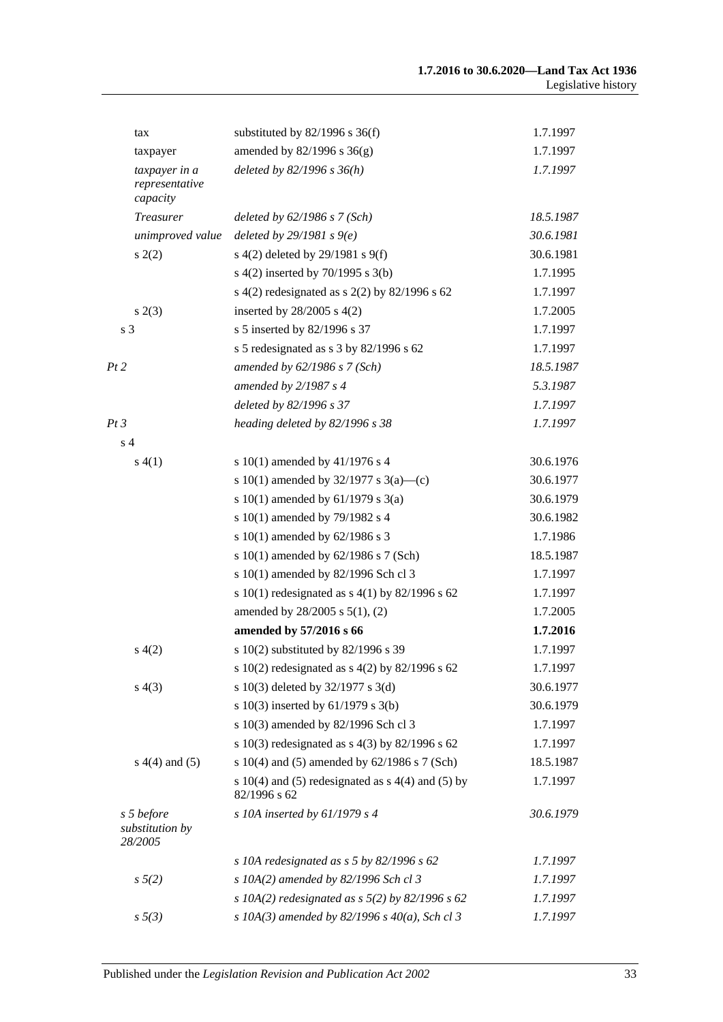| tax                                         | substituted by $82/1996$ s $36(f)$                                    | 1.7.1997  |
|---------------------------------------------|-----------------------------------------------------------------------|-----------|
| taxpayer                                    | amended by 82/1996 s 36(g)                                            | 1.7.1997  |
| taxpayer in a<br>representative<br>capacity | deleted by $82/1996 s 36(h)$                                          | 1.7.1997  |
| <b>Treasurer</b>                            | deleted by $62/1986$ s $7(Sch)$                                       | 18.5.1987 |
| unimproved value                            | deleted by $29/1981 s$ 9(e)                                           | 30.6.1981 |
| s(2)                                        | s 4(2) deleted by 29/1981 s 9(f)                                      | 30.6.1981 |
|                                             | s 4(2) inserted by 70/1995 s 3(b)                                     | 1.7.1995  |
|                                             | s $4(2)$ redesignated as s $2(2)$ by 82/1996 s 62                     | 1.7.1997  |
| s(2(3)                                      | inserted by $28/2005$ s $4(2)$                                        | 1.7.2005  |
| s <sub>3</sub>                              | s 5 inserted by 82/1996 s 37                                          | 1.7.1997  |
|                                             | s 5 redesignated as s 3 by 82/1996 s 62                               | 1.7.1997  |
| Pt 2                                        | amended by $62/1986$ s $7$ (Sch)                                      | 18.5.1987 |
|                                             | amended by $2/1987 s 4$                                               | 5.3.1987  |
|                                             | deleted by 82/1996 s 37                                               | 1.7.1997  |
| Pt3                                         | heading deleted by 82/1996 s 38                                       | 1.7.1997  |
| s <sub>4</sub>                              |                                                                       |           |
| s(4(1))                                     | s 10(1) amended by 41/1976 s 4                                        | 30.6.1976 |
|                                             | s 10(1) amended by 32/1977 s 3(a)—(c)                                 | 30.6.1977 |
|                                             | s 10(1) amended by 61/1979 s 3(a)                                     | 30.6.1979 |
|                                             | s 10(1) amended by 79/1982 s 4                                        | 30.6.1982 |
|                                             | s 10(1) amended by 62/1986 s 3                                        | 1.7.1986  |
|                                             | s $10(1)$ amended by $62/1986$ s 7 (Sch)                              | 18.5.1987 |
|                                             | s 10(1) amended by 82/1996 Sch cl 3                                   | 1.7.1997  |
|                                             | s 10(1) redesignated as $s$ 4(1) by 82/1996 s 62                      | 1.7.1997  |
|                                             | amended by 28/2005 s 5(1), (2)                                        | 1.7.2005  |
|                                             | amended by 57/2016 s 66                                               | 1.7.2016  |
| s(4(2)                                      | s 10(2) substituted by 82/1996 s 39                                   | 1.7.1997  |
|                                             | s 10(2) redesignated as $s$ 4(2) by 82/1996 s 62                      | 1.7.1997  |
| s(4(3))                                     | s 10(3) deleted by 32/1977 s 3(d)                                     | 30.6.1977 |
|                                             | s 10(3) inserted by $61/1979$ s 3(b)                                  | 30.6.1979 |
|                                             | s 10(3) amended by 82/1996 Sch cl 3                                   | 1.7.1997  |
|                                             | s 10(3) redesignated as $s$ 4(3) by 82/1996 s 62                      | 1.7.1997  |
| $s(4)$ and (5)                              | s $10(4)$ and (5) amended by $62/1986$ s 7 (Sch)                      | 18.5.1987 |
|                                             | s $10(4)$ and (5) redesignated as s $4(4)$ and (5) by<br>82/1996 s 62 | 1.7.1997  |
| s 5 before<br>substitution by<br>28/2005    | s 10A inserted by $61/1979$ s 4                                       | 30.6.1979 |
|                                             | s 10A redesignated as $s$ 5 by 82/1996 $s$ 62                         | 1.7.1997  |
| $s\,5(2)$                                   | s 10A(2) amended by 82/1996 Sch cl 3                                  | 1.7.1997  |
|                                             | s 10A(2) redesignated as $s$ 5(2) by 82/1996 s 62                     | 1.7.1997  |
| $s\sqrt{3}$                                 | s 10A(3) amended by 82/1996 s 40(a), Sch cl 3                         | 1.7.1997  |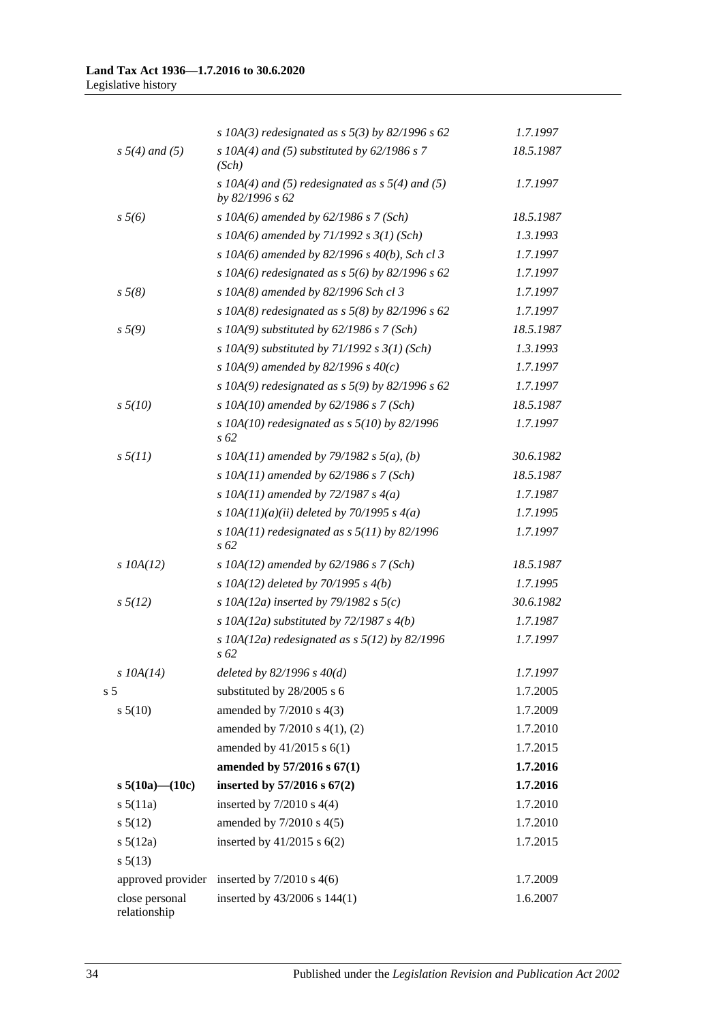|                                | s 10A(3) redesignated as $s$ 5(3) by 82/1996 s 62                      | 1.7.1997  |
|--------------------------------|------------------------------------------------------------------------|-----------|
| $s \, 5(4)$ and (5)            | s $10A(4)$ and (5) substituted by 62/1986 s 7<br>(Sch)                 | 18.5.1987 |
|                                | s $10A(4)$ and (5) redesignated as s $5(4)$ and (5)<br>by 82/1996 s 62 | 1.7.1997  |
| $s\,5(6)$                      | s 10A(6) amended by $62/1986$ s 7 (Sch)                                | 18.5.1987 |
|                                | s 10A(6) amended by 71/1992 s $3(1)$ (Sch)                             | 1.3.1993  |
|                                | s 10A(6) amended by 82/1996 s 40(b), Sch cl 3                          | 1.7.1997  |
|                                | s 10A(6) redesignated as $s$ 5(6) by 82/1996 s 62                      | 1.7.1997  |
| $s \, 5(8)$                    | s 10A(8) amended by 82/1996 Sch cl 3                                   | 1.7.1997  |
|                                | s 10A(8) redesignated as $s$ 5(8) by 82/1996 s 62                      | 1.7.1997  |
| $s\,5(9)$                      | s 10A(9) substituted by $62/1986$ s 7 (Sch)                            | 18.5.1987 |
|                                | s 10A(9) substituted by 71/1992 s $3(1)$ (Sch)                         | 1.3.1993  |
|                                | s 10A(9) amended by 82/1996 s $40(c)$                                  | 1.7.1997  |
|                                | s 10A(9) redesignated as s $5(9)$ by 82/1996 s 62                      | 1.7.1997  |
| $s\,5(10)$                     | s 10A(10) amended by $62/1986$ s 7 (Sch)                               | 18.5.1987 |
|                                | s $10A(10)$ redesignated as s $5(10)$ by 82/1996<br>$s\,62$            | 1.7.1997  |
| $s \frac{5}{11}$               | s 10A(11) amended by 79/1982 s $5(a)$ , (b)                            | 30.6.1982 |
|                                | s 10A(11) amended by $62/1986$ s 7 (Sch)                               | 18.5.1987 |
|                                | s 10A(11) amended by 72/1987 s $4(a)$                                  | 1.7.1987  |
|                                | s $10A(11)(a)(ii)$ deleted by 70/1995 s $4(a)$                         | 1.7.1995  |
|                                | s $10A(11)$ redesignated as s $5(11)$ by 82/1996<br>$s\,62$            | 1.7.1997  |
| $s$ 10A(12)                    | s 10A(12) amended by $62/1986$ s 7 (Sch)                               | 18.5.1987 |
|                                | s 10A(12) deleted by 70/1995 s $4(b)$                                  | 1.7.1995  |
| $s\,5(12)$                     | s 10A(12a) inserted by 79/1982 s $5(c)$                                | 30.6.1982 |
|                                | s 10A(12a) substituted by $72/1987$ s $4(b)$                           | 1.7.1987  |
|                                | s 10A(12a) redesignated as s $5(12)$ by 82/1996<br>$s\,62$             | 1.7.1997  |
| $s$ 10A(14)                    | deleted by $82/1996 s 40(d)$                                           | 1.7.1997  |
| s <sub>5</sub>                 | substituted by 28/2005 s 6                                             | 1.7.2005  |
| $s\,5(10)$                     | amended by $7/2010$ s $4(3)$                                           | 1.7.2009  |
|                                | amended by 7/2010 s 4(1), (2)                                          | 1.7.2010  |
|                                | amended by $41/2015$ s $6(1)$                                          | 1.7.2015  |
|                                | amended by 57/2016 s 67(1)                                             | 1.7.2016  |
| s $5(10a) - (10c)$             | inserted by 57/2016 s 67(2)                                            | 1.7.2016  |
| $s\,5(11a)$                    | inserted by $7/2010$ s $4(4)$                                          | 1.7.2010  |
| $s\,5(12)$                     | amended by $7/2010$ s $4(5)$                                           | 1.7.2010  |
| $s\ 5(12a)$                    | inserted by $41/2015$ s $6(2)$                                         | 1.7.2015  |
| $s\,5(13)$                     |                                                                        |           |
| approved provider              | inserted by $7/2010$ s $4(6)$                                          | 1.7.2009  |
| close personal<br>relationship | inserted by 43/2006 s 144(1)                                           | 1.6.2007  |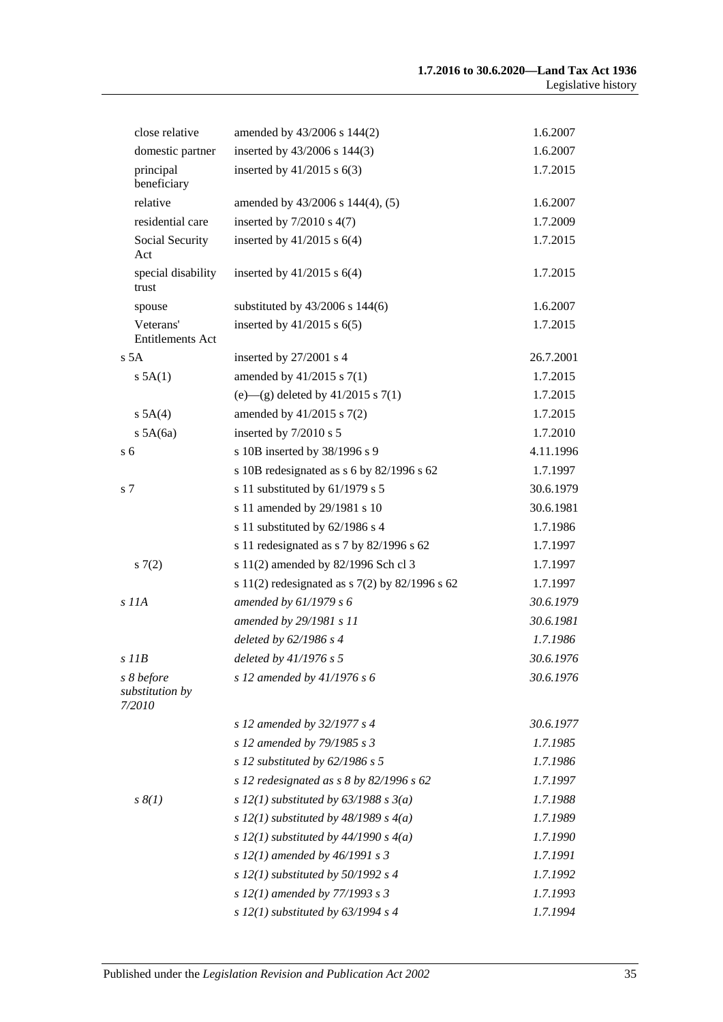| close relative                          | amended by 43/2006 s 144(2)                    | 1.6.2007  |
|-----------------------------------------|------------------------------------------------|-----------|
| domestic partner                        | inserted by 43/2006 s 144(3)                   | 1.6.2007  |
| principal<br>beneficiary                | inserted by $41/2015$ s $6(3)$                 | 1.7.2015  |
| relative                                | amended by 43/2006 s 144(4), (5)               | 1.6.2007  |
| residential care                        | inserted by $7/2010$ s $4(7)$                  | 1.7.2009  |
| Social Security<br>Act                  | inserted by $41/2015$ s $6(4)$                 | 1.7.2015  |
| special disability<br>trust             | inserted by $41/2015$ s $6(4)$                 | 1.7.2015  |
| spouse                                  | substituted by 43/2006 s 144(6)                | 1.6.2007  |
| Veterans'<br><b>Entitlements Act</b>    | inserted by $41/2015$ s $6(5)$                 | 1.7.2015  |
| $s$ 5A                                  | inserted by 27/2001 s 4                        | 26.7.2001 |
| $s$ 5A(1)                               | amended by 41/2015 s 7(1)                      | 1.7.2015  |
|                                         | (e)—(g) deleted by $41/2015$ s $7(1)$          | 1.7.2015  |
| $s$ 5A(4)                               | amended by 41/2015 s 7(2)                      | 1.7.2015  |
| s $5A(6a)$                              | inserted by 7/2010 s 5                         | 1.7.2010  |
| s 6                                     | s 10B inserted by 38/1996 s 9                  | 4.11.1996 |
|                                         | s 10B redesignated as s 6 by 82/1996 s 62      | 1.7.1997  |
| s 7                                     | s 11 substituted by 61/1979 s 5                | 30.6.1979 |
|                                         | s 11 amended by 29/1981 s 10                   | 30.6.1981 |
|                                         | s 11 substituted by 62/1986 s 4                | 1.7.1986  |
|                                         | s 11 redesignated as s 7 by 82/1996 s 62       | 1.7.1997  |
| s(7(2)                                  | s 11(2) amended by 82/1996 Sch cl 3            | 1.7.1997  |
|                                         | s 11(2) redesignated as s 7(2) by 82/1996 s 62 | 1.7.1997  |
| s 11A                                   | amended by $61/1979 s 6$                       | 30.6.1979 |
|                                         | amended by 29/1981 s 11                        | 30.6.1981 |
|                                         | deleted by 62/1986 s 4                         | 1.7.1986  |
| s 11B                                   | deleted by 41/1976 s 5                         | 30.6.1976 |
| s 8 before<br>substitution by<br>7/2010 | s 12 amended by $41/1976$ s 6                  | 30.6.1976 |
|                                         | s 12 amended by 32/1977 s 4                    | 30.6.1977 |
|                                         | s 12 amended by 79/1985 s 3                    | 1.7.1985  |
|                                         | s 12 substituted by $62/1986$ s 5              | 1.7.1986  |
|                                         | s 12 redesignated as $s$ 8 by 82/1996 $s$ 62   | 1.7.1997  |
| $s \, \delta(1)$                        | s 12(1) substituted by $63/1988$ s $3(a)$      | 1.7.1988  |
|                                         | s 12(1) substituted by 48/1989 s $4(a)$        | 1.7.1989  |
|                                         | s 12(1) substituted by $44/1990$ s $4(a)$      | 1.7.1990  |
|                                         | s 12(1) amended by $46/1991$ s 3               | 1.7.1991  |
|                                         | s $12(1)$ substituted by 50/1992 s 4           | 1.7.1992  |
|                                         | s 12(1) amended by 77/1993 s 3                 | 1.7.1993  |
|                                         | s $12(1)$ substituted by 63/1994 s 4           | 1.7.1994  |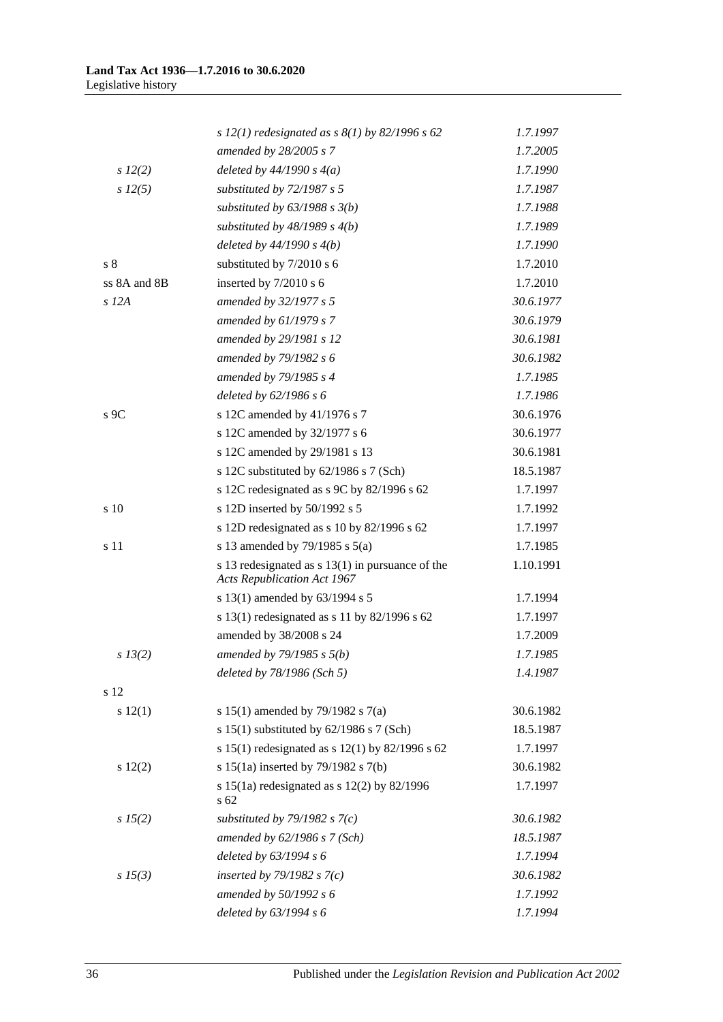|                | s 12(1) redesignated as $s(1)$ by 82/1996 s 62                                           | 1.7.1997  |
|----------------|------------------------------------------------------------------------------------------|-----------|
|                | amended by 28/2005 s 7                                                                   | 1.7.2005  |
| $s\ 12(2)$     | deleted by $44/1990 s 4(a)$                                                              | 1.7.1990  |
| $s\,12(5)$     | substituted by $72/1987 s 5$                                                             | 1.7.1987  |
|                | substituted by $63/1988$ s $3(b)$                                                        | 1.7.1988  |
|                | substituted by $48/1989$ s $4(b)$                                                        | 1.7.1989  |
|                | deleted by $44/1990 s 4(b)$                                                              | 1.7.1990  |
| s <sub>8</sub> | substituted by 7/2010 s 6                                                                | 1.7.2010  |
| ss 8A and 8B   | inserted by 7/2010 s 6                                                                   | 1.7.2010  |
| $s$ 12A        | amended by 32/1977 s 5                                                                   | 30.6.1977 |
|                | amended by $61/1979 s$ 7                                                                 | 30.6.1979 |
|                | amended by 29/1981 s 12                                                                  | 30.6.1981 |
|                | amended by 79/1982 s 6                                                                   | 30.6.1982 |
|                | amended by 79/1985 s 4                                                                   | 1.7.1985  |
|                | deleted by $62/1986 s 6$                                                                 | 1.7.1986  |
| $s$ 9C         | s 12C amended by 41/1976 s 7                                                             | 30.6.1976 |
|                | s 12C amended by 32/1977 s 6                                                             | 30.6.1977 |
|                | s 12C amended by 29/1981 s 13                                                            | 30.6.1981 |
|                | s 12C substituted by 62/1986 s 7 (Sch)                                                   | 18.5.1987 |
|                | s 12C redesignated as s 9C by 82/1996 s 62                                               | 1.7.1997  |
| s 10           | s 12D inserted by 50/1992 s 5                                                            | 1.7.1992  |
|                | s 12D redesignated as s 10 by 82/1996 s 62                                               | 1.7.1997  |
| s 11           | s 13 amended by 79/1985 s $5(a)$                                                         | 1.7.1985  |
|                | s 13 redesignated as $s$ 13(1) in pursuance of the<br><b>Acts Republication Act 1967</b> | 1.10.1991 |
|                | s 13(1) amended by 63/1994 s 5                                                           | 1.7.1994  |
|                | s 13(1) redesignated as s 11 by $82/1996$ s 62                                           | 1.7.1997  |
|                | amended by 38/2008 s 24                                                                  | 1.7.2009  |
| $s\,13(2)$     | amended by $79/1985 s 5(b)$                                                              | 1.7.1985  |
|                | deleted by 78/1986 (Sch 5)                                                               | 1.4.1987  |
| s 12           |                                                                                          |           |
| s 12(1)        | s 15(1) amended by 79/1982 s 7(a)                                                        | 30.6.1982 |
|                | s 15(1) substituted by $62/1986$ s 7 (Sch)                                               | 18.5.1987 |
|                | s 15(1) redesignated as s 12(1) by 82/1996 s 62                                          | 1.7.1997  |
| s 12(2)        | s 15(1a) inserted by 79/1982 s 7(b)                                                      | 30.6.1982 |
|                | s 15(1a) redesignated as s 12(2) by 82/1996<br>$\sqrt{62}$                               | 1.7.1997  |
| $s\,15(2)$     | substituted by 79/1982 s $7(c)$                                                          | 30.6.1982 |
|                | amended by $62/1986$ s $7$ (Sch)                                                         | 18.5.1987 |
|                | deleted by $63/1994 s 6$                                                                 | 1.7.1994  |
| $s\,15(3)$     | inserted by 79/1982 s $7(c)$                                                             | 30.6.1982 |
|                | amended by 50/1992 s 6                                                                   | 1.7.1992  |
|                | deleted by 63/1994 s 6                                                                   | 1.7.1994  |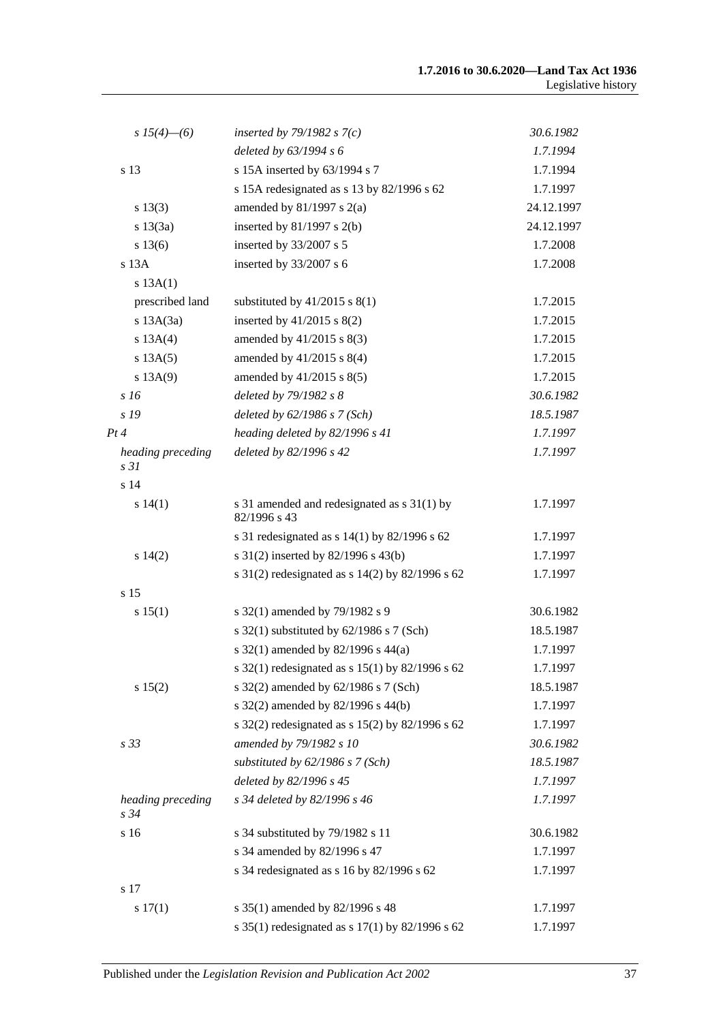| s $15(4)$ - (6)                      | inserted by 79/1982 s $7(c)$                                | 30.6.1982  |
|--------------------------------------|-------------------------------------------------------------|------------|
|                                      | deleted by 63/1994 s 6                                      | 1.7.1994   |
| s 13                                 | s 15A inserted by 63/1994 s 7                               | 1.7.1994   |
|                                      | s 15A redesignated as s 13 by 82/1996 s 62                  | 1.7.1997   |
| s 13(3)                              | amended by $81/1997$ s $2(a)$                               | 24.12.1997 |
| s 13(3a)                             | inserted by $81/1997$ s $2(b)$                              | 24.12.1997 |
| s 13(6)                              | inserted by 33/2007 s 5                                     | 1.7.2008   |
| s 13A                                | inserted by 33/2007 s 6                                     | 1.7.2008   |
| s 13A(1)                             |                                                             |            |
| prescribed land                      | substituted by $41/2015$ s $8(1)$                           | 1.7.2015   |
| $s$ 13A $(3a)$                       | inserted by $41/2015$ s $8(2)$                              | 1.7.2015   |
| s 13A(4)                             | amended by $41/2015$ s $8(3)$                               | 1.7.2015   |
| s 13A(5)                             | amended by $41/2015$ s $8(4)$                               | 1.7.2015   |
| s 13A(9)                             | amended by $41/2015$ s $8(5)$                               | 1.7.2015   |
| s16                                  | deleted by 79/1982 s 8                                      | 30.6.1982  |
| s <sub>19</sub>                      | deleted by $62/1986$ s $7 (Sch)$                            | 18.5.1987  |
| Pt4                                  | heading deleted by 82/1996 s 41                             | 1.7.1997   |
| heading preceding<br>s <sub>31</sub> | deleted by 82/1996 s 42                                     | 1.7.1997   |
| s 14                                 |                                                             |            |
| s 14(1)                              | s 31 amended and redesignated as s 31(1) by<br>82/1996 s 43 | 1.7.1997   |
|                                      | s 31 redesignated as $s$ 14(1) by 82/1996 s 62              | 1.7.1997   |
| s 14(2)                              | s 31(2) inserted by 82/1996 s 43(b)                         | 1.7.1997   |
|                                      | s 31(2) redesignated as s 14(2) by 82/1996 s 62             | 1.7.1997   |
| s 15                                 |                                                             |            |
| s 15(1)                              | s 32(1) amended by 79/1982 s 9                              | 30.6.1982  |
|                                      | s $32(1)$ substituted by $62/1986$ s 7 (Sch)                | 18.5.1987  |
|                                      | s $32(1)$ amended by $82/1996$ s $44(a)$                    | 1.7.1997   |
|                                      | s 32(1) redesignated as s 15(1) by 82/1996 s 62             | 1.7.1997   |
| s 15(2)                              | s $32(2)$ amended by $62/1986$ s 7 (Sch)                    | 18.5.1987  |
|                                      | s 32(2) amended by 82/1996 s 44(b)                          | 1.7.1997   |
|                                      | s $32(2)$ redesignated as s $15(2)$ by $82/1996$ s 62       | 1.7.1997   |
| s <sub>33</sub>                      | amended by 79/1982 s 10                                     | 30.6.1982  |
|                                      | substituted by $62/1986$ s $7$ (Sch)                        | 18.5.1987  |
|                                      | deleted by 82/1996 s 45                                     | 1.7.1997   |
| heading preceding<br>s 34            | s 34 deleted by 82/1996 s 46                                | 1.7.1997   |
| s 16                                 | s 34 substituted by 79/1982 s 11                            | 30.6.1982  |
|                                      | s 34 amended by 82/1996 s 47                                | 1.7.1997   |
|                                      | s 34 redesignated as s 16 by 82/1996 s 62                   | 1.7.1997   |
| s 17                                 |                                                             |            |
| s 17(1)                              | s 35(1) amended by 82/1996 s 48                             | 1.7.1997   |
|                                      | s 35(1) redesignated as s $17(1)$ by 82/1996 s 62           | 1.7.1997   |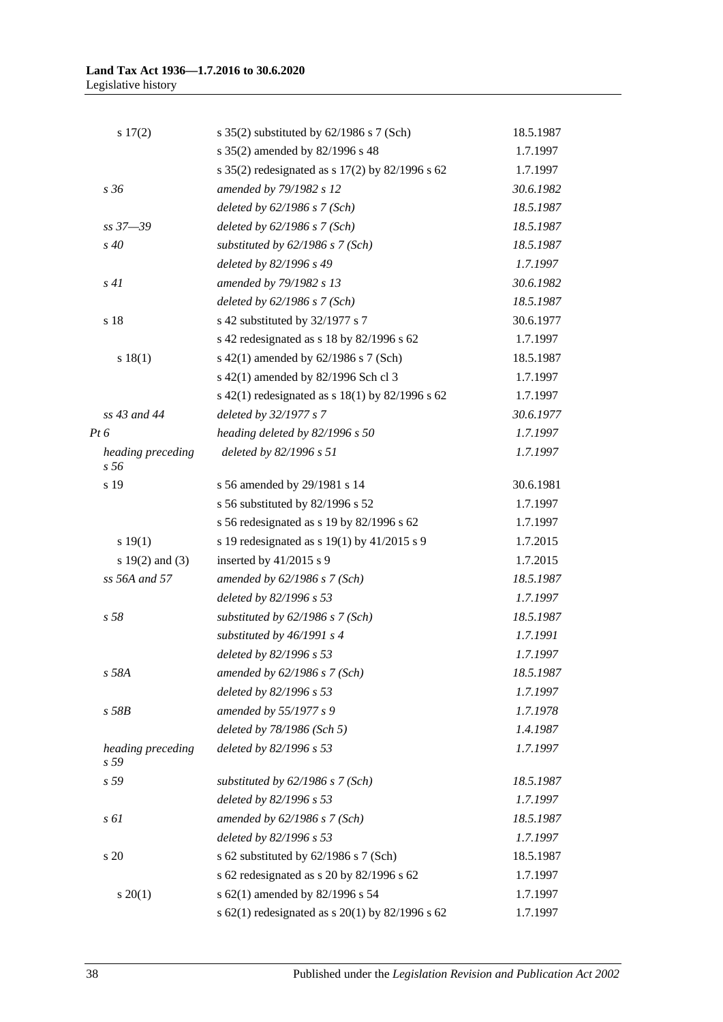| s 17(2)                              | s $35(2)$ substituted by $62/1986$ s 7 (Sch)      | 18.5.1987 |
|--------------------------------------|---------------------------------------------------|-----------|
|                                      | s 35(2) amended by 82/1996 s 48                   | 1.7.1997  |
|                                      | s 35(2) redesignated as s $17(2)$ by 82/1996 s 62 | 1.7.1997  |
| s36                                  | amended by 79/1982 s 12                           | 30.6.1982 |
|                                      | deleted by $62/1986$ s $7$ (Sch)                  | 18.5.1987 |
| ss 37–39                             | deleted by 62/1986 s 7 (Sch)                      | 18.5.1987 |
| s 40                                 | substituted by $62/1986$ s $7$ (Sch)              | 18.5.1987 |
|                                      | deleted by 82/1996 s 49                           | 1.7.1997  |
| s41                                  | amended by 79/1982 s 13                           | 30.6.1982 |
|                                      | deleted by $62/1986 s7$ (Sch)                     | 18.5.1987 |
| s 18                                 | s 42 substituted by 32/1977 s 7                   | 30.6.1977 |
|                                      | s 42 redesignated as s 18 by 82/1996 s 62         | 1.7.1997  |
| s 18(1)                              | s 42(1) amended by 62/1986 s 7 (Sch)              | 18.5.1987 |
|                                      | s 42(1) amended by 82/1996 Sch cl 3               | 1.7.1997  |
|                                      | s 42(1) redesignated as s 18(1) by 82/1996 s 62   | 1.7.1997  |
| ss 43 and 44                         | deleted by 32/1977 s 7                            | 30.6.1977 |
| $Pt\,6$                              | heading deleted by 82/1996 s 50                   | 1.7.1997  |
| heading preceding<br>s <sub>56</sub> | deleted by 82/1996 s 51                           | 1.7.1997  |
| s 19                                 | s 56 amended by 29/1981 s 14                      | 30.6.1981 |
|                                      | s 56 substituted by 82/1996 s 52                  | 1.7.1997  |
|                                      | s 56 redesignated as s 19 by 82/1996 s 62         | 1.7.1997  |
| s 19(1)                              | s 19 redesignated as s $19(1)$ by $41/2015$ s 9   | 1.7.2015  |
| s $19(2)$ and $(3)$                  | inserted by $41/2015$ s 9                         | 1.7.2015  |
| ss 56A and 57                        | amended by $62/1986$ s $7$ (Sch)                  | 18.5.1987 |
|                                      | deleted by 82/1996 s 53                           | 1.7.1997  |
| s <sub>58</sub>                      | substituted by $62/1986$ s $7$ (Sch)              | 18.5.1987 |
|                                      | substituted by 46/1991 s 4                        | 1.7.1991  |
|                                      | deleted by 82/1996 s 53                           | 1.7.1997  |
| s 58A                                | amended by 62/1986 s 7 (Sch)                      | 18.5.1987 |
|                                      | deleted by 82/1996 s 53                           | 1.7.1997  |
| s 58B                                | amended by 55/1977 s 9                            | 1.7.1978  |
|                                      | deleted by 78/1986 (Sch 5)                        | 1.4.1987  |
| heading preceding<br>s 59            | deleted by 82/1996 s 53                           | 1.7.1997  |
| s 59                                 | substituted by $62/1986$ s $7$ (Sch)              | 18.5.1987 |
|                                      | deleted by 82/1996 s 53                           | 1.7.1997  |
| s 61                                 | amended by 62/1986 s 7 (Sch)                      | 18.5.1987 |
|                                      | deleted by 82/1996 s 53                           | 1.7.1997  |
| s 20                                 | s 62 substituted by 62/1986 s 7 (Sch)             | 18.5.1987 |
|                                      | s 62 redesignated as s 20 by 82/1996 s 62         | 1.7.1997  |
| $s \, 20(1)$                         | s 62(1) amended by 82/1996 s 54                   | 1.7.1997  |
|                                      | s 62(1) redesignated as s 20(1) by 82/1996 s 62   | 1.7.1997  |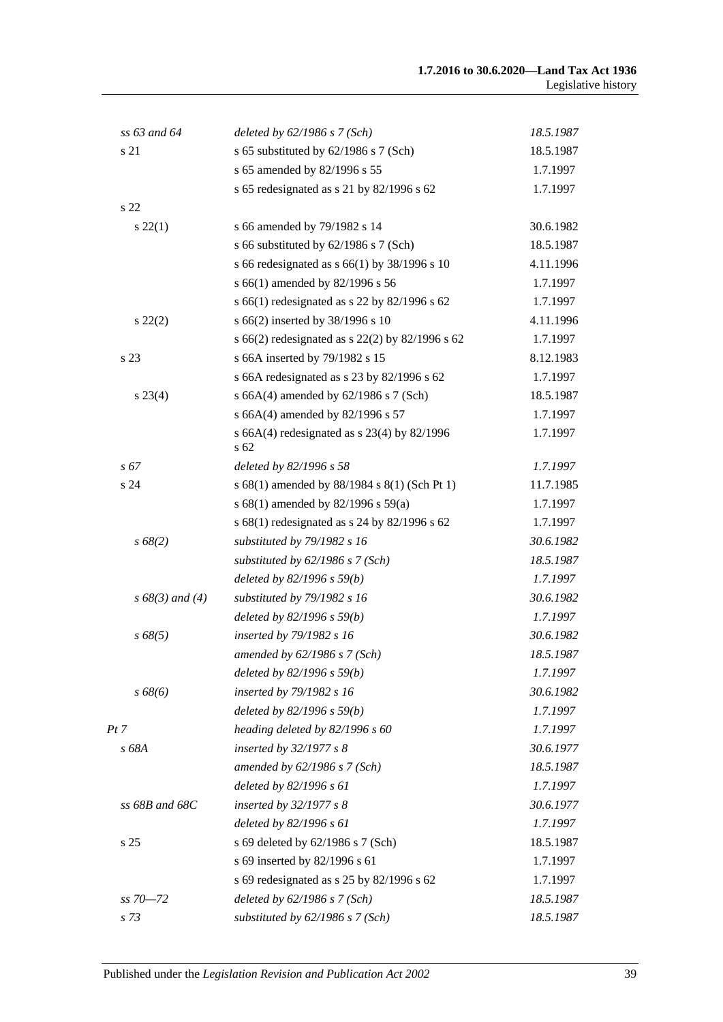| ss 63 and 64       | deleted by $62/1986$ s $7$ (Sch)                                   | 18.5.1987 |
|--------------------|--------------------------------------------------------------------|-----------|
| s 21               | s 65 substituted by $62/1986$ s 7 (Sch)                            | 18.5.1987 |
|                    | s 65 amended by 82/1996 s 55                                       | 1.7.1997  |
|                    | s 65 redesignated as s 21 by 82/1996 s 62                          | 1.7.1997  |
| s 22               |                                                                    |           |
| $s\,22(1)$         | s 66 amended by 79/1982 s 14                                       | 30.6.1982 |
|                    | s 66 substituted by $62/1986$ s 7 (Sch)                            | 18.5.1987 |
|                    | s 66 redesignated as s 66(1) by $38/1996$ s 10                     | 4.11.1996 |
|                    | s 66(1) amended by 82/1996 s 56                                    | 1.7.1997  |
|                    | s 66(1) redesignated as s 22 by 82/1996 s 62                       | 1.7.1997  |
| $s\ 22(2)$         | s 66(2) inserted by 38/1996 s 10                                   | 4.11.1996 |
|                    | s 66(2) redesignated as s 22(2) by 82/1996 s 62                    | 1.7.1997  |
| s 23               | s 66A inserted by 79/1982 s 15                                     | 8.12.1983 |
|                    | s 66A redesignated as s 23 by 82/1996 s 62                         | 1.7.1997  |
| $s\,23(4)$         | s 66A $(4)$ amended by 62/1986 s 7 (Sch)                           | 18.5.1987 |
|                    | s 66A(4) amended by 82/1996 s 57                                   | 1.7.1997  |
|                    | s 66A(4) redesignated as s $23(4)$ by $82/1996$<br>s <sub>62</sub> | 1.7.1997  |
| $s\,67$            | deleted by 82/1996 s 58                                            | 1.7.1997  |
| s 24               | s 68(1) amended by 88/1984 s 8(1) (Sch Pt 1)                       | 11.7.1985 |
|                    | s 68(1) amended by 82/1996 s 59(a)                                 | 1.7.1997  |
|                    | s 68(1) redesignated as s 24 by 82/1996 s 62                       | 1.7.1997  |
| s 68(2)            | substituted by 79/1982 s 16                                        | 30.6.1982 |
|                    | substituted by $62/1986$ s $7$ (Sch)                               | 18.5.1987 |
|                    | deleted by $82/1996 s 59(b)$                                       | 1.7.1997  |
| $s\,68(3)$ and (4) | substituted by 79/1982 s 16                                        | 30.6.1982 |
|                    | deleted by $82/1996 s 59(b)$                                       | 1.7.1997  |
| $s\,68(5)$         | inserted by 79/1982 s 16                                           | 30.6.1982 |
|                    | amended by $62/1986$ s $7$ (Sch)                                   | 18.5.1987 |
|                    | deleted by 82/1996 s 59(b)                                         | 1.7.1997  |
| $s\,68(6)$         | inserted by 79/1982 s 16                                           | 30.6.1982 |
|                    | deleted by 82/1996 s 59(b)                                         | 1.7.1997  |
| Pt 7               | heading deleted by 82/1996 s 60                                    | 1.7.1997  |
| s 68A              | inserted by $32/1977 s 8$                                          | 30.6.1977 |
|                    | amended by $62/1986$ s $7$ (Sch)                                   | 18.5.1987 |
|                    | deleted by 82/1996 s 61                                            | 1.7.1997  |
| ss 68B and 68C     | inserted by $32/1977 s 8$                                          | 30.6.1977 |
|                    | deleted by 82/1996 s 61                                            | 1.7.1997  |
| s <sub>25</sub>    | s 69 deleted by 62/1986 s 7 (Sch)                                  | 18.5.1987 |
|                    | s 69 inserted by 82/1996 s 61                                      | 1.7.1997  |
|                    | s 69 redesignated as s 25 by 82/1996 s 62                          | 1.7.1997  |
| ss 70-72           | deleted by $62/1986$ s $7 (Sch)$                                   | 18.5.1987 |
| s 73               | substituted by $62/1986$ s $7 (Sch)$                               | 18.5.1987 |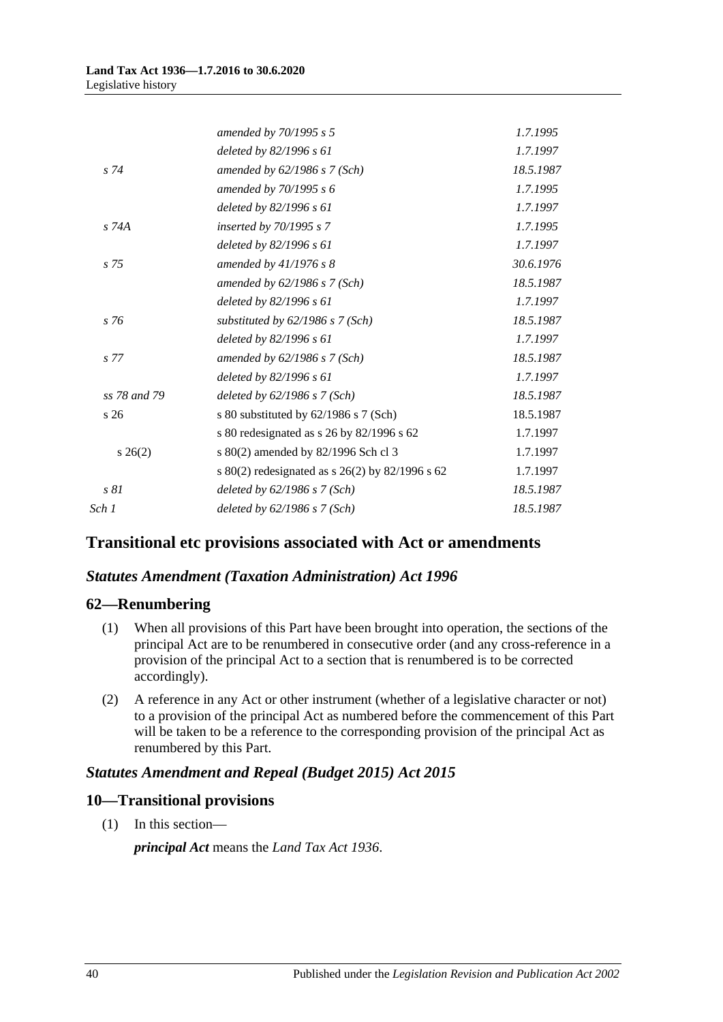|                 | amended by 70/1995 s 5                                | 1.7.1995  |
|-----------------|-------------------------------------------------------|-----------|
|                 | deleted by $82/1996 s 61$                             | 1.7.1997  |
| $s\,74$         | amended by $62/1986$ s $7$ (Sch)                      | 18.5.1987 |
|                 | amended by 70/1995 s 6                                | 1.7.1995  |
|                 | deleted by 82/1996 s 61                               | 1.7.1997  |
| $s$ 74A         | inserted by $70/1995 s 7$                             | 1.7.1995  |
|                 | deleted by 82/1996 s 61                               | 1.7.1997  |
| $s\,75$         | amended by $41/1976 s 8$                              | 30.6.1976 |
|                 | amended by $62/1986$ s $7$ (Sch)                      | 18.5.1987 |
|                 | deleted by 82/1996 s 61                               | 1.7.1997  |
| s 76            | substituted by $62/1986$ s $7$ (Sch)                  | 18.5.1987 |
|                 | deleted by 82/1996 s 61                               | 1.7.1997  |
| s 77            | amended by $62/1986$ s $7$ (Sch)                      | 18.5.1987 |
|                 | deleted by $82/1996 s 61$                             | 1.7.1997  |
| ss 78 and 79    | deleted by $62/1986$ s $7(Sch)$                       | 18.5.1987 |
| s <sub>26</sub> | s 80 substituted by $62/1986$ s 7 (Sch)               | 18.5.1987 |
|                 | s 80 redesignated as s 26 by 82/1996 s 62             | 1.7.1997  |
| $s \; 26(2)$    | s 80(2) amended by 82/1996 Sch cl 3                   | 1.7.1997  |
|                 | s $80(2)$ redesignated as s $26(2)$ by $82/1996$ s 62 | 1.7.1997  |
| s81             | deleted by $62/1986$ s $7(Sch)$                       | 18.5.1987 |
| Sch 1           | deleted by $62/1986$ s $7$ (Sch)                      | 18.5.1987 |
|                 |                                                       |           |

# **Transitional etc provisions associated with Act or amendments**

## *Statutes Amendment (Taxation Administration) Act 1996*

## **62—Renumbering**

- (1) When all provisions of this Part have been brought into operation, the sections of the principal Act are to be renumbered in consecutive order (and any cross-reference in a provision of the principal Act to a section that is renumbered is to be corrected accordingly).
- (2) A reference in any Act or other instrument (whether of a legislative character or not) to a provision of the principal Act as numbered before the commencement of this Part will be taken to be a reference to the corresponding provision of the principal Act as renumbered by this Part.

#### *Statutes Amendment and Repeal (Budget 2015) Act 2015*

#### **10—Transitional provisions**

(1) In this section—

*principal Act* means the *[Land Tax Act](http://www.legislation.sa.gov.au/index.aspx?action=legref&type=act&legtitle=Land%20Tax%20Act%201936) 1936*.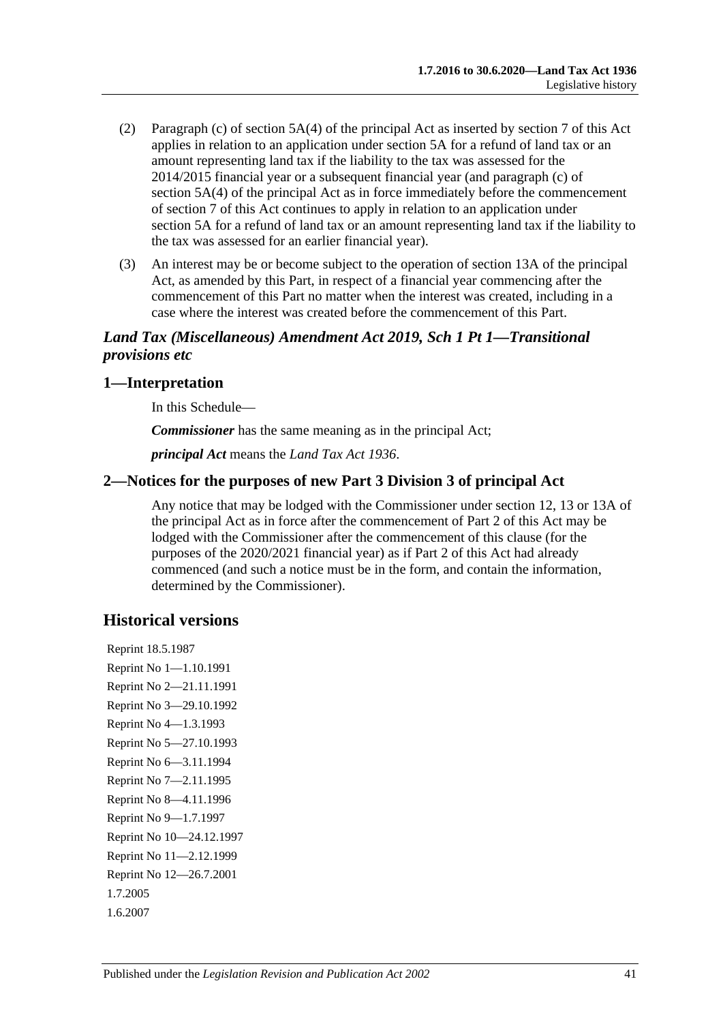- (2) Paragraph (c) of section 5A(4) of the principal Act as inserted by section 7 of this Act applies in relation to an application under section 5A for a refund of land tax or an amount representing land tax if the liability to the tax was assessed for the 2014/2015 financial year or a subsequent financial year (and paragraph (c) of section 5A(4) of the principal Act as in force immediately before the commencement of section 7 of this Act continues to apply in relation to an application under section 5A for a refund of land tax or an amount representing land tax if the liability to the tax was assessed for an earlier financial year).
- (3) An interest may be or become subject to the operation of section 13A of the principal Act, as amended by this Part, in respect of a financial year commencing after the commencement of this Part no matter when the interest was created, including in a case where the interest was created before the commencement of this Part.

## *Land Tax (Miscellaneous) Amendment Act 2019, Sch 1 Pt 1—Transitional provisions etc*

#### **1—Interpretation**

In this Schedule—

*Commissioner* has the same meaning as in the principal Act;

*principal Act* means the *[Land Tax Act](http://www.legislation.sa.gov.au/index.aspx?action=legref&type=act&legtitle=Land%20Tax%20Act%201936) 1936*.

#### **2—Notices for the purposes of new Part 3 Division 3 of principal Act**

Any notice that may be lodged with the Commissioner under section 12, 13 or 13A of the principal Act as in force after the commencement of Part 2 of this Act may be lodged with the Commissioner after the commencement of this clause (for the purposes of the 2020/2021 financial year) as if Part 2 of this Act had already commenced (and such a notice must be in the form, and contain the information, determined by the Commissioner).

## **Historical versions**

Reprint 18.5.1987 Reprint No 1—1.10.1991 Reprint No 2—21.11.1991 Reprint No 3—29.10.1992 Reprint No 4—1.3.1993 Reprint No 5—27.10.1993 Reprint No 6—3.11.1994 Reprint No 7—2.11.1995 Reprint No 8—4.11.1996 Reprint No 9—1.7.1997 Reprint No 10—24.12.1997 Reprint No 11—2.12.1999 Reprint No 12—26.7.2001 1.7.2005 1.6.2007